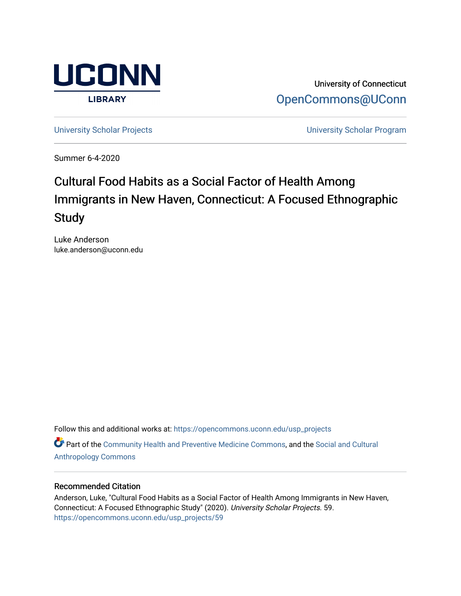

University of Connecticut [OpenCommons@UConn](https://opencommons.uconn.edu/) 

[University Scholar Projects](https://opencommons.uconn.edu/usp_projects) [University Scholar Program](https://opencommons.uconn.edu/usp) 

Summer 6-4-2020

# Cultural Food Habits as a Social Factor of Health Among Immigrants in New Haven, Connecticut: A Focused Ethnographic Study

Luke Anderson luke.anderson@uconn.edu

Follow this and additional works at: [https://opencommons.uconn.edu/usp\\_projects](https://opencommons.uconn.edu/usp_projects?utm_source=opencommons.uconn.edu%2Fusp_projects%2F59&utm_medium=PDF&utm_campaign=PDFCoverPages)

Part of the [Community Health and Preventive Medicine Commons](http://network.bepress.com/hgg/discipline/744?utm_source=opencommons.uconn.edu%2Fusp_projects%2F59&utm_medium=PDF&utm_campaign=PDFCoverPages), and the [Social and Cultural](http://network.bepress.com/hgg/discipline/323?utm_source=opencommons.uconn.edu%2Fusp_projects%2F59&utm_medium=PDF&utm_campaign=PDFCoverPages) [Anthropology Commons](http://network.bepress.com/hgg/discipline/323?utm_source=opencommons.uconn.edu%2Fusp_projects%2F59&utm_medium=PDF&utm_campaign=PDFCoverPages)

#### Recommended Citation

Anderson, Luke, "Cultural Food Habits as a Social Factor of Health Among Immigrants in New Haven, Connecticut: A Focused Ethnographic Study" (2020). University Scholar Projects. 59. [https://opencommons.uconn.edu/usp\\_projects/59](https://opencommons.uconn.edu/usp_projects/59?utm_source=opencommons.uconn.edu%2Fusp_projects%2F59&utm_medium=PDF&utm_campaign=PDFCoverPages)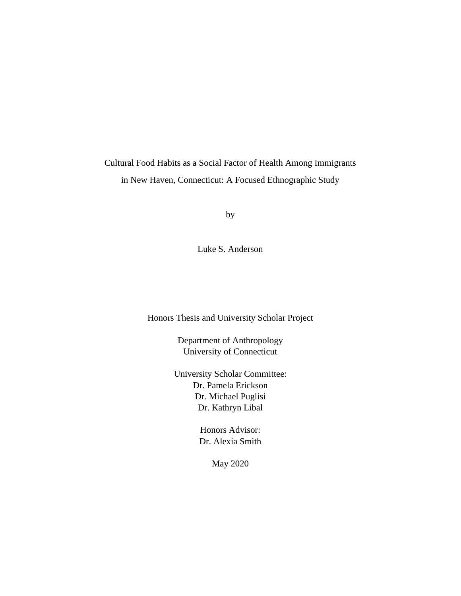Cultural Food Habits as a Social Factor of Health Among Immigrants in New Haven, Connecticut: A Focused Ethnographic Study

by

Luke S. Anderson

Honors Thesis and University Scholar Project

Department of Anthropology University of Connecticut

University Scholar Committee: Dr. Pamela Erickson Dr. Michael Puglisi Dr. Kathryn Libal

> Honors Advisor: Dr. Alexia Smith

> > May 2020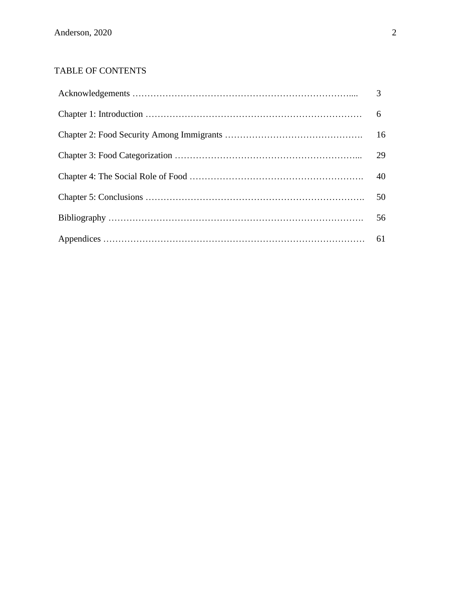## TABLE OF CONTENTS

| 29 |
|----|
| 40 |
|    |
|    |
|    |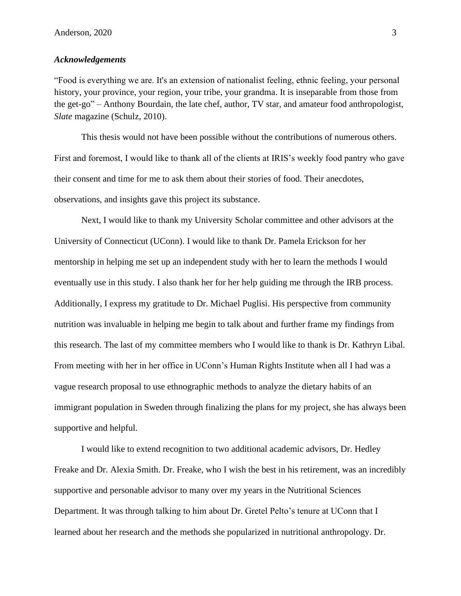## *Acknowledgements*

"Food is everything we are. It's an extension of nationalist feeling, ethnic feeling, your personal history, your province, your region, your tribe, your grandma. It is inseparable from those from the get-go" – Anthony Bourdain, the late chef, author, TV star, and amateur food anthropologist, *Slate* magazine (Schulz, 2010).

This thesis would not have been possible without the contributions of numerous others. First and foremost, I would like to thank all of the clients at IRIS's weekly food pantry who gave their consent and time for me to ask them about their stories of food. Their anecdotes, observations, and insights gave this project its substance.

Next, I would like to thank my University Scholar committee and other advisors at the University of Connecticut (UConn). I would like to thank Dr. Pamela Erickson for her mentorship in helping me set up an independent study with her to learn the methods I would eventually use in this study. I also thank her for her help guiding me through the IRB process. Additionally, I express my gratitude to Dr. Michael Puglisi. His perspective from community nutrition was invaluable in helping me begin to talk about and further frame my findings from this research. The last of my committee members who I would like to thank is Dr. Kathryn Libal. From meeting with her in her office in UConn's Human Rights Institute when all I had was a vague research proposal to use ethnographic methods to analyze the dietary habits of an immigrant population in Sweden through finalizing the plans for my project, she has always been supportive and helpful.

I would like to extend recognition to two additional academic advisors, Dr. Hedley Freake and Dr. Alexia Smith. Dr. Freake, who I wish the best in his retirement, was an incredibly supportive and personable advisor to many over my years in the Nutritional Sciences Department. It was through talking to him about Dr. Gretel Pelto's tenure at UConn that I learned about her research and the methods she popularized in nutritional anthropology. Dr.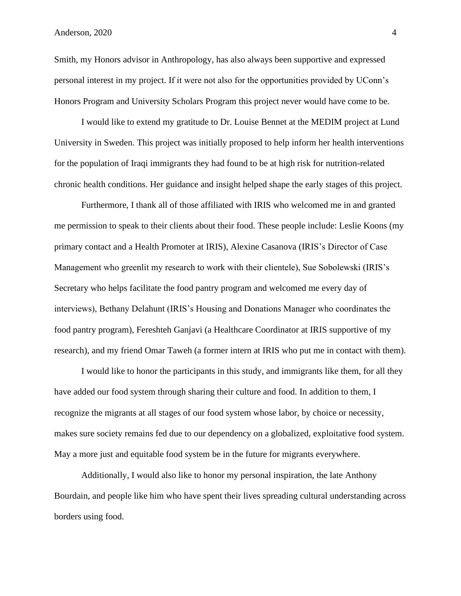Smith, my Honors advisor in Anthropology, has also always been supportive and expressed personal interest in my project. If it were not also for the opportunities provided by UConn's Honors Program and University Scholars Program this project never would have come to be.

I would like to extend my gratitude to Dr. Louise Bennet at the MEDIM project at Lund University in Sweden. This project was initially proposed to help inform her health interventions for the population of Iraqi immigrants they had found to be at high risk for nutrition-related chronic health conditions. Her guidance and insight helped shape the early stages of this project.

Furthermore, I thank all of those affiliated with IRIS who welcomed me in and granted me permission to speak to their clients about their food. These people include: Leslie Koons (my primary contact and a Health Promoter at IRIS), Alexine Casanova (IRIS's Director of Case Management who greenlit my research to work with their clientele), Sue Sobolewski (IRIS's Secretary who helps facilitate the food pantry program and welcomed me every day of interviews), Bethany Delahunt (IRIS's Housing and Donations Manager who coordinates the food pantry program), Fereshteh Ganjavi (a Healthcare Coordinator at IRIS supportive of my research), and my friend Omar Taweh (a former intern at IRIS who put me in contact with them).

I would like to honor the participants in this study, and immigrants like them, for all they have added our food system through sharing their culture and food. In addition to them, I recognize the migrants at all stages of our food system whose labor, by choice or necessity, makes sure society remains fed due to our dependency on a globalized, exploitative food system. May a more just and equitable food system be in the future for migrants everywhere.

Additionally, I would also like to honor my personal inspiration, the late Anthony Bourdain, and people like him who have spent their lives spreading cultural understanding across borders using food.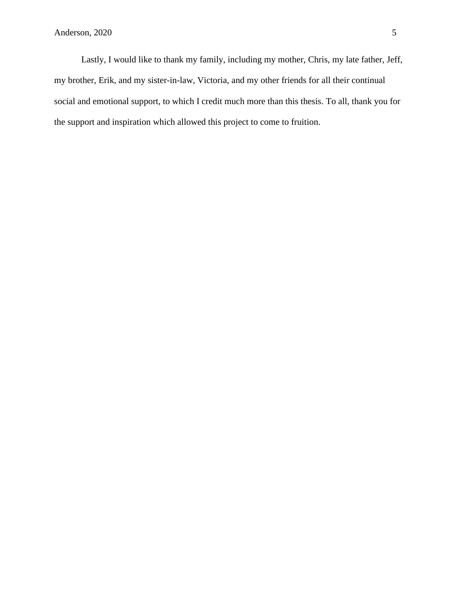Lastly, I would like to thank my family, including my mother, Chris, my late father, Jeff, my brother, Erik, and my sister-in-law, Victoria, and my other friends for all their continual social and emotional support, to which I credit much more than this thesis. To all, thank you for the support and inspiration which allowed this project to come to fruition.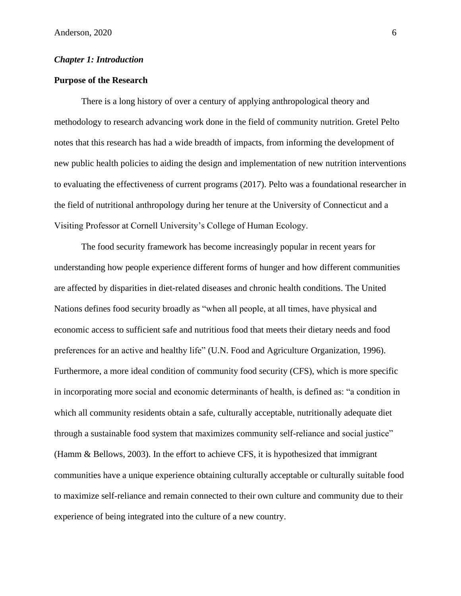#### *Chapter 1: Introduction*

#### **Purpose of the Research**

There is a long history of over a century of applying anthropological theory and methodology to research advancing work done in the field of community nutrition. Gretel Pelto notes that this research has had a wide breadth of impacts, from informing the development of new public health policies to aiding the design and implementation of new nutrition interventions to evaluating the effectiveness of current programs (2017). Pelto was a foundational researcher in the field of nutritional anthropology during her tenure at the University of Connecticut and a Visiting Professor at Cornell University's College of Human Ecology.

The food security framework has become increasingly popular in recent years for understanding how people experience different forms of hunger and how different communities are affected by disparities in diet-related diseases and chronic health conditions. The United Nations defines food security broadly as "when all people, at all times, have physical and economic access to sufficient safe and nutritious food that meets their dietary needs and food preferences for an active and healthy life" (U.N. Food and Agriculture Organization, 1996). Furthermore, a more ideal condition of community food security (CFS), which is more specific in incorporating more social and economic determinants of health, is defined as: "a condition in which all community residents obtain a safe, culturally acceptable, nutritionally adequate diet through a sustainable food system that maximizes community self-reliance and social justice" (Hamm & Bellows, 2003). In the effort to achieve CFS, it is hypothesized that immigrant communities have a unique experience obtaining culturally acceptable or culturally suitable food to maximize self-reliance and remain connected to their own culture and community due to their experience of being integrated into the culture of a new country.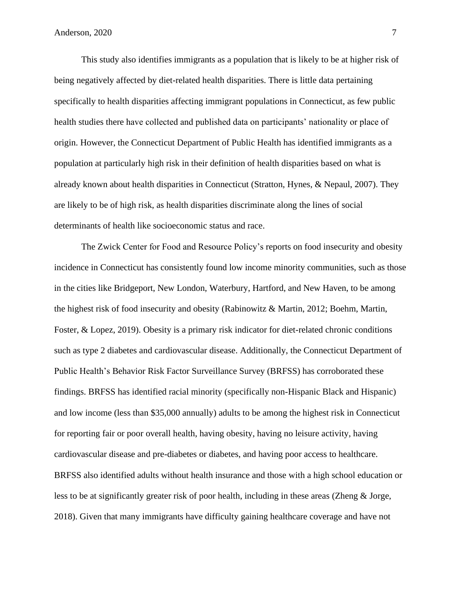This study also identifies immigrants as a population that is likely to be at higher risk of being negatively affected by diet-related health disparities. There is little data pertaining specifically to health disparities affecting immigrant populations in Connecticut, as few public health studies there have collected and published data on participants' nationality or place of origin. However, the Connecticut Department of Public Health has identified immigrants as a population at particularly high risk in their definition of health disparities based on what is already known about health disparities in Connecticut (Stratton, Hynes, & Nepaul, 2007). They are likely to be of high risk, as health disparities discriminate along the lines of social determinants of health like socioeconomic status and race.

The Zwick Center for Food and Resource Policy's reports on food insecurity and obesity incidence in Connecticut has consistently found low income minority communities, such as those in the cities like Bridgeport, New London, Waterbury, Hartford, and New Haven, to be among the highest risk of food insecurity and obesity (Rabinowitz & Martin, 2012; Boehm, Martin, Foster, & Lopez, 2019). Obesity is a primary risk indicator for diet-related chronic conditions such as type 2 diabetes and cardiovascular disease. Additionally, the Connecticut Department of Public Health's Behavior Risk Factor Surveillance Survey (BRFSS) has corroborated these findings. BRFSS has identified racial minority (specifically non-Hispanic Black and Hispanic) and low income (less than \$35,000 annually) adults to be among the highest risk in Connecticut for reporting fair or poor overall health, having obesity, having no leisure activity, having cardiovascular disease and pre-diabetes or diabetes, and having poor access to healthcare. BRFSS also identified adults without health insurance and those with a high school education or less to be at significantly greater risk of poor health, including in these areas (Zheng & Jorge, 2018). Given that many immigrants have difficulty gaining healthcare coverage and have not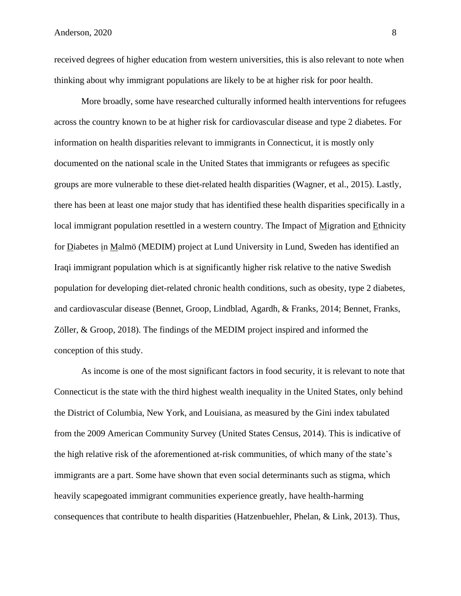received degrees of higher education from western universities, this is also relevant to note when thinking about why immigrant populations are likely to be at higher risk for poor health.

More broadly, some have researched culturally informed health interventions for refugees across the country known to be at higher risk for cardiovascular disease and type 2 diabetes. For information on health disparities relevant to immigrants in Connecticut, it is mostly only documented on the national scale in the United States that immigrants or refugees as specific groups are more vulnerable to these diet-related health disparities (Wagner, et al., 2015). Lastly, there has been at least one major study that has identified these health disparities specifically in a local immigrant population resettled in a western country. The Impact of Migration and Ethnicity for Diabetes in Malmö (MEDIM) project at Lund University in Lund, Sweden has identified an Iraqi immigrant population which is at significantly higher risk relative to the native Swedish population for developing diet-related chronic health conditions, such as obesity, type 2 diabetes, and cardiovascular disease (Bennet, Groop, Lindblad, Agardh, & Franks, 2014; Bennet, Franks, Zöller, & Groop, 2018). The findings of the MEDIM project inspired and informed the conception of this study.

As income is one of the most significant factors in food security, it is relevant to note that Connecticut is the state with the third highest wealth inequality in the United States, only behind the District of Columbia, New York, and Louisiana, as measured by the Gini index tabulated from the 2009 American Community Survey (United States Census, 2014). This is indicative of the high relative risk of the aforementioned at-risk communities, of which many of the state's immigrants are a part. Some have shown that even social determinants such as stigma, which heavily scapegoated immigrant communities experience greatly, have health-harming consequences that contribute to health disparities (Hatzenbuehler, Phelan, & Link, 2013). Thus,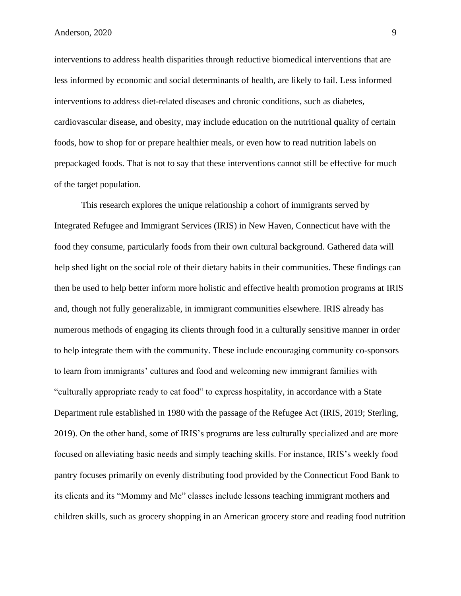interventions to address health disparities through reductive biomedical interventions that are less informed by economic and social determinants of health, are likely to fail. Less informed interventions to address diet-related diseases and chronic conditions, such as diabetes, cardiovascular disease, and obesity, may include education on the nutritional quality of certain foods, how to shop for or prepare healthier meals, or even how to read nutrition labels on prepackaged foods. That is not to say that these interventions cannot still be effective for much of the target population.

This research explores the unique relationship a cohort of immigrants served by Integrated Refugee and Immigrant Services (IRIS) in New Haven, Connecticut have with the food they consume, particularly foods from their own cultural background. Gathered data will help shed light on the social role of their dietary habits in their communities. These findings can then be used to help better inform more holistic and effective health promotion programs at IRIS and, though not fully generalizable, in immigrant communities elsewhere. IRIS already has numerous methods of engaging its clients through food in a culturally sensitive manner in order to help integrate them with the community. These include encouraging community co-sponsors to learn from immigrants' cultures and food and welcoming new immigrant families with "culturally appropriate ready to eat food" to express hospitality, in accordance with a State Department rule established in 1980 with the passage of the Refugee Act (IRIS, 2019; Sterling, 2019). On the other hand, some of IRIS's programs are less culturally specialized and are more focused on alleviating basic needs and simply teaching skills. For instance, IRIS's weekly food pantry focuses primarily on evenly distributing food provided by the Connecticut Food Bank to its clients and its "Mommy and Me" classes include lessons teaching immigrant mothers and children skills, such as grocery shopping in an American grocery store and reading food nutrition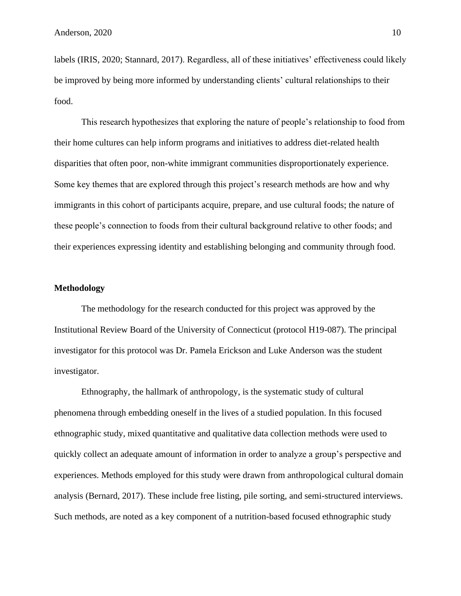labels (IRIS, 2020; Stannard, 2017). Regardless, all of these initiatives' effectiveness could likely be improved by being more informed by understanding clients' cultural relationships to their food.

This research hypothesizes that exploring the nature of people's relationship to food from their home cultures can help inform programs and initiatives to address diet-related health disparities that often poor, non-white immigrant communities disproportionately experience. Some key themes that are explored through this project's research methods are how and why immigrants in this cohort of participants acquire, prepare, and use cultural foods; the nature of these people's connection to foods from their cultural background relative to other foods; and their experiences expressing identity and establishing belonging and community through food.

#### **Methodology**

The methodology for the research conducted for this project was approved by the Institutional Review Board of the University of Connecticut (protocol H19-087). The principal investigator for this protocol was Dr. Pamela Erickson and Luke Anderson was the student investigator.

Ethnography, the hallmark of anthropology, is the systematic study of cultural phenomena through embedding oneself in the lives of a studied population. In this focused ethnographic study, mixed quantitative and qualitative data collection methods were used to quickly collect an adequate amount of information in order to analyze a group's perspective and experiences. Methods employed for this study were drawn from anthropological cultural domain analysis (Bernard, 2017). These include free listing, pile sorting, and semi-structured interviews. Such methods, are noted as a key component of a nutrition-based focused ethnographic study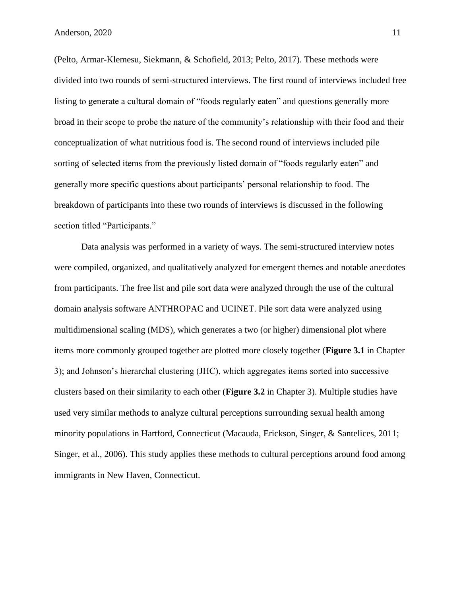(Pelto, Armar-Klemesu, Siekmann, & Schofield, 2013; Pelto, 2017). These methods were divided into two rounds of semi-structured interviews. The first round of interviews included free listing to generate a cultural domain of "foods regularly eaten" and questions generally more broad in their scope to probe the nature of the community's relationship with their food and their conceptualization of what nutritious food is. The second round of interviews included pile sorting of selected items from the previously listed domain of "foods regularly eaten" and generally more specific questions about participants' personal relationship to food. The breakdown of participants into these two rounds of interviews is discussed in the following section titled "Participants."

Data analysis was performed in a variety of ways. The semi-structured interview notes were compiled, organized, and qualitatively analyzed for emergent themes and notable anecdotes from participants. The free list and pile sort data were analyzed through the use of the cultural domain analysis software ANTHROPAC and UCINET. Pile sort data were analyzed using multidimensional scaling (MDS), which generates a two (or higher) dimensional plot where items more commonly grouped together are plotted more closely together (**Figure 3.1** in Chapter 3); and Johnson's hierarchal clustering (JHC), which aggregates items sorted into successive clusters based on their similarity to each other (**Figure 3.2** in Chapter 3). Multiple studies have used very similar methods to analyze cultural perceptions surrounding sexual health among minority populations in Hartford, Connecticut (Macauda, Erickson, Singer, & Santelices, 2011; Singer, et al., 2006). This study applies these methods to cultural perceptions around food among immigrants in New Haven, Connecticut.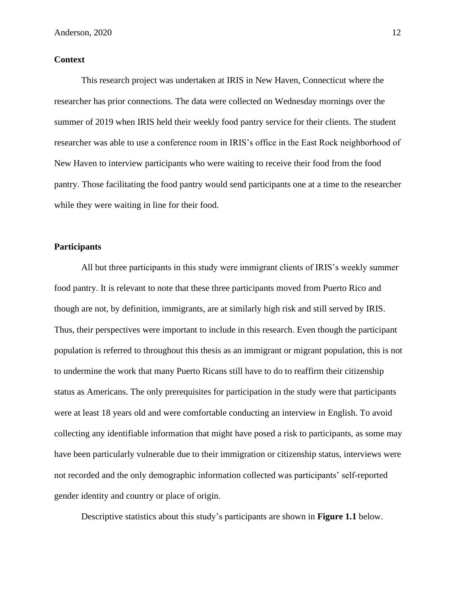## **Context**

This research project was undertaken at IRIS in New Haven, Connecticut where the researcher has prior connections. The data were collected on Wednesday mornings over the summer of 2019 when IRIS held their weekly food pantry service for their clients. The student researcher was able to use a conference room in IRIS's office in the East Rock neighborhood of New Haven to interview participants who were waiting to receive their food from the food pantry. Those facilitating the food pantry would send participants one at a time to the researcher while they were waiting in line for their food.

#### **Participants**

All but three participants in this study were immigrant clients of IRIS's weekly summer food pantry. It is relevant to note that these three participants moved from Puerto Rico and though are not, by definition, immigrants, are at similarly high risk and still served by IRIS. Thus, their perspectives were important to include in this research. Even though the participant population is referred to throughout this thesis as an immigrant or migrant population, this is not to undermine the work that many Puerto Ricans still have to do to reaffirm their citizenship status as Americans. The only prerequisites for participation in the study were that participants were at least 18 years old and were comfortable conducting an interview in English. To avoid collecting any identifiable information that might have posed a risk to participants, as some may have been particularly vulnerable due to their immigration or citizenship status, interviews were not recorded and the only demographic information collected was participants' self-reported gender identity and country or place of origin.

Descriptive statistics about this study's participants are shown in **Figure 1.1** below.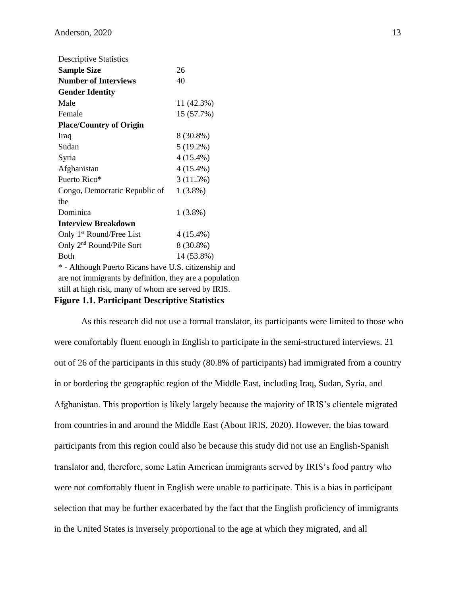| <b>Descriptive Statistics</b>                           |             |
|---------------------------------------------------------|-------------|
| <b>Sample Size</b>                                      | 26          |
| <b>Number of Interviews</b>                             | 40          |
| <b>Gender Identity</b>                                  |             |
| Male                                                    | 11 (42.3%)  |
| Female                                                  | 15 (57.7%)  |
| <b>Place/Country of Origin</b>                          |             |
| Iraq                                                    | 8 (30.8%)   |
| Sudan                                                   | $5(19.2\%)$ |
| Syria                                                   | $4(15.4\%)$ |
| Afghanistan                                             | 4 (15.4%)   |
| Puerto Rico*                                            | 3(11.5%)    |
| Congo, Democratic Republic of                           | $1(3.8\%)$  |
| the                                                     |             |
| Dominica                                                | $1(3.8\%)$  |
| <b>Interview Breakdown</b>                              |             |
| Only 1 <sup>st</sup> Round/Free List                    | 4 (15.4%)   |
| Only 2 <sup>nd</sup> Round/Pile Sort                    | 8 (30.8%)   |
| <b>Both</b>                                             | 14 (53.8%)  |
| * - Although Puerto Ricans have U.S. citizenship and    |             |
| are not immigrants by definition, they are a population |             |
| still at high risk, many of whom are served by IRIS.    |             |

## **Figure 1.1. Participant Descriptive Statistics**

As this research did not use a formal translator, its participants were limited to those who were comfortably fluent enough in English to participate in the semi-structured interviews. 21 out of 26 of the participants in this study (80.8% of participants) had immigrated from a country in or bordering the geographic region of the Middle East, including Iraq, Sudan, Syria, and Afghanistan. This proportion is likely largely because the majority of IRIS's clientele migrated from countries in and around the Middle East (About IRIS, 2020). However, the bias toward participants from this region could also be because this study did not use an English-Spanish translator and, therefore, some Latin American immigrants served by IRIS's food pantry who were not comfortably fluent in English were unable to participate. This is a bias in participant selection that may be further exacerbated by the fact that the English proficiency of immigrants in the United States is inversely proportional to the age at which they migrated, and all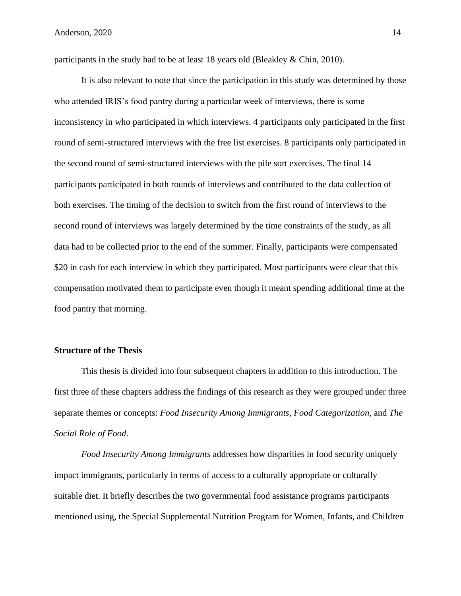participants in the study had to be at least 18 years old (Bleakley & Chin, 2010).

It is also relevant to note that since the participation in this study was determined by those who attended IRIS's food pantry during a particular week of interviews, there is some inconsistency in who participated in which interviews. 4 participants only participated in the first round of semi-structured interviews with the free list exercises. 8 participants only participated in the second round of semi-structured interviews with the pile sort exercises. The final 14 participants participated in both rounds of interviews and contributed to the data collection of both exercises. The timing of the decision to switch from the first round of interviews to the second round of interviews was largely determined by the time constraints of the study, as all data had to be collected prior to the end of the summer. Finally, participants were compensated \$20 in cash for each interview in which they participated. Most participants were clear that this compensation motivated them to participate even though it meant spending additional time at the food pantry that morning.

#### **Structure of the Thesis**

This thesis is divided into four subsequent chapters in addition to this introduction. The first three of these chapters address the findings of this research as they were grouped under three separate themes or concepts: *Food Insecurity Among Immigrants*, *Food Categorization*, and *The Social Role of Food*.

*Food Insecurity Among Immigrants* addresses how disparities in food security uniquely impact immigrants, particularly in terms of access to a culturally appropriate or culturally suitable diet. It briefly describes the two governmental food assistance programs participants mentioned using, the Special Supplemental Nutrition Program for Women, Infants, and Children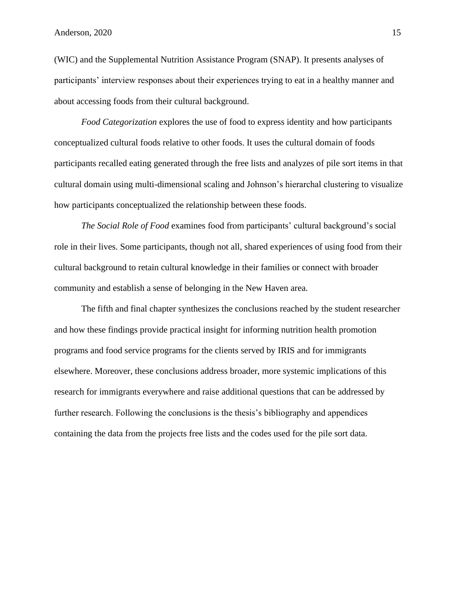(WIC) and the Supplemental Nutrition Assistance Program (SNAP). It presents analyses of participants' interview responses about their experiences trying to eat in a healthy manner and about accessing foods from their cultural background.

*Food Categorization* explores the use of food to express identity and how participants conceptualized cultural foods relative to other foods. It uses the cultural domain of foods participants recalled eating generated through the free lists and analyzes of pile sort items in that cultural domain using multi-dimensional scaling and Johnson's hierarchal clustering to visualize how participants conceptualized the relationship between these foods.

*The Social Role of Food* examines food from participants' cultural background's social role in their lives. Some participants, though not all, shared experiences of using food from their cultural background to retain cultural knowledge in their families or connect with broader community and establish a sense of belonging in the New Haven area.

The fifth and final chapter synthesizes the conclusions reached by the student researcher and how these findings provide practical insight for informing nutrition health promotion programs and food service programs for the clients served by IRIS and for immigrants elsewhere. Moreover, these conclusions address broader, more systemic implications of this research for immigrants everywhere and raise additional questions that can be addressed by further research. Following the conclusions is the thesis's bibliography and appendices containing the data from the projects free lists and the codes used for the pile sort data.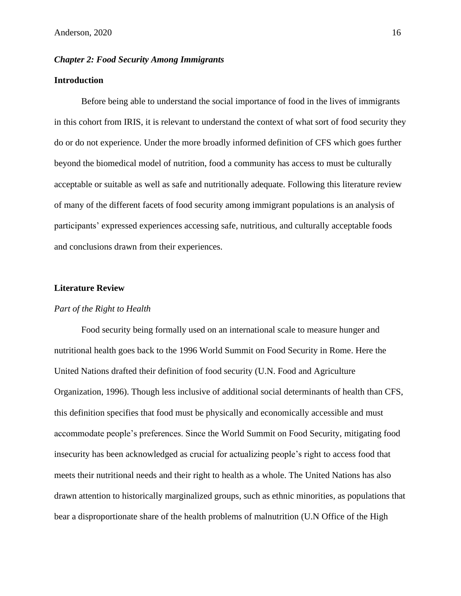#### *Chapter 2: Food Security Among Immigrants*

## **Introduction**

Before being able to understand the social importance of food in the lives of immigrants in this cohort from IRIS, it is relevant to understand the context of what sort of food security they do or do not experience. Under the more broadly informed definition of CFS which goes further beyond the biomedical model of nutrition, food a community has access to must be culturally acceptable or suitable as well as safe and nutritionally adequate. Following this literature review of many of the different facets of food security among immigrant populations is an analysis of participants' expressed experiences accessing safe, nutritious, and culturally acceptable foods and conclusions drawn from their experiences.

#### **Literature Review**

#### *Part of the Right to Health*

Food security being formally used on an international scale to measure hunger and nutritional health goes back to the 1996 World Summit on Food Security in Rome. Here the United Nations drafted their definition of food security (U.N. Food and Agriculture Organization, 1996). Though less inclusive of additional social determinants of health than CFS, this definition specifies that food must be physically and economically accessible and must accommodate people's preferences. Since the World Summit on Food Security, mitigating food insecurity has been acknowledged as crucial for actualizing people's right to access food that meets their nutritional needs and their right to health as a whole. The United Nations has also drawn attention to historically marginalized groups, such as ethnic minorities, as populations that bear a disproportionate share of the health problems of malnutrition (U.N Office of the High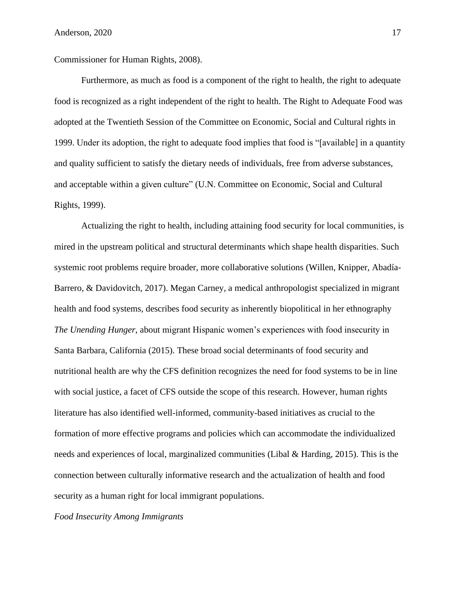Commissioner for Human Rights, 2008).

Furthermore, as much as food is a component of the right to health, the right to adequate food is recognized as a right independent of the right to health. The Right to Adequate Food was adopted at the Twentieth Session of the Committee on Economic, Social and Cultural rights in 1999. Under its adoption, the right to adequate food implies that food is "[available] in a quantity and quality sufficient to satisfy the dietary needs of individuals, free from adverse substances, and acceptable within a given culture" (U.N. Committee on Economic, Social and Cultural Rights, 1999).

Actualizing the right to health, including attaining food security for local communities, is mired in the upstream political and structural determinants which shape health disparities. Such systemic root problems require broader, more collaborative solutions (Willen, Knipper, Abadía-Barrero, & Davidovitch, 2017). Megan Carney, a medical anthropologist specialized in migrant health and food systems, describes food security as inherently biopolitical in her ethnography *The Unending Hunger*, about migrant Hispanic women's experiences with food insecurity in Santa Barbara, California (2015). These broad social determinants of food security and nutritional health are why the CFS definition recognizes the need for food systems to be in line with social justice, a facet of CFS outside the scope of this research. However, human rights literature has also identified well-informed, community-based initiatives as crucial to the formation of more effective programs and policies which can accommodate the individualized needs and experiences of local, marginalized communities (Libal & Harding, 2015). This is the connection between culturally informative research and the actualization of health and food security as a human right for local immigrant populations.

*Food Insecurity Among Immigrants*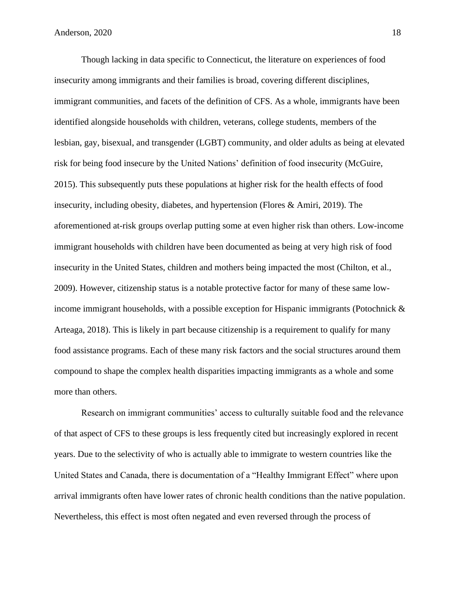Though lacking in data specific to Connecticut, the literature on experiences of food insecurity among immigrants and their families is broad, covering different disciplines, immigrant communities, and facets of the definition of CFS. As a whole, immigrants have been identified alongside households with children, veterans, college students, members of the lesbian, gay, bisexual, and transgender (LGBT) community, and older adults as being at elevated risk for being food insecure by the United Nations' definition of food insecurity (McGuire, 2015). This subsequently puts these populations at higher risk for the health effects of food insecurity, including obesity, diabetes, and hypertension (Flores & Amiri, 2019). The aforementioned at-risk groups overlap putting some at even higher risk than others. Low-income immigrant households with children have been documented as being at very high risk of food insecurity in the United States, children and mothers being impacted the most (Chilton, et al., 2009). However, citizenship status is a notable protective factor for many of these same lowincome immigrant households, with a possible exception for Hispanic immigrants (Potochnick & Arteaga, 2018). This is likely in part because citizenship is a requirement to qualify for many food assistance programs. Each of these many risk factors and the social structures around them compound to shape the complex health disparities impacting immigrants as a whole and some more than others.

Research on immigrant communities' access to culturally suitable food and the relevance of that aspect of CFS to these groups is less frequently cited but increasingly explored in recent years. Due to the selectivity of who is actually able to immigrate to western countries like the United States and Canada, there is documentation of a "Healthy Immigrant Effect" where upon arrival immigrants often have lower rates of chronic health conditions than the native population. Nevertheless, this effect is most often negated and even reversed through the process of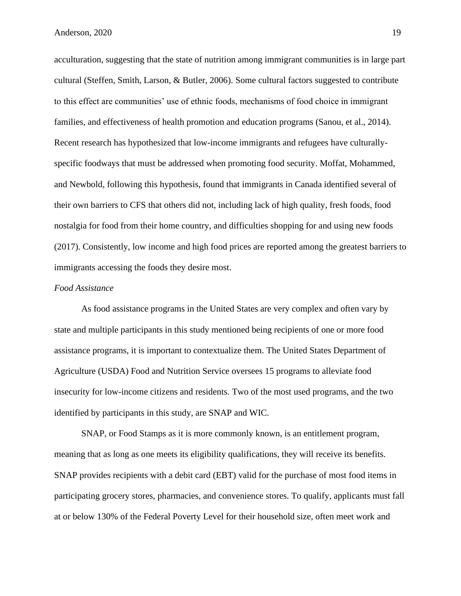acculturation, suggesting that the state of nutrition among immigrant communities is in large part cultural (Steffen, Smith, Larson, & Butler, 2006). Some cultural factors suggested to contribute to this effect are communities' use of ethnic foods, mechanisms of food choice in immigrant families, and effectiveness of health promotion and education programs (Sanou, et al., 2014). Recent research has hypothesized that low-income immigrants and refugees have culturallyspecific foodways that must be addressed when promoting food security. Moffat, Mohammed, and Newbold, following this hypothesis, found that immigrants in Canada identified several of their own barriers to CFS that others did not, including lack of high quality, fresh foods, food nostalgia for food from their home country, and difficulties shopping for and using new foods (2017). Consistently, low income and high food prices are reported among the greatest barriers to immigrants accessing the foods they desire most.

#### *Food Assistance*

As food assistance programs in the United States are very complex and often vary by state and multiple participants in this study mentioned being recipients of one or more food assistance programs, it is important to contextualize them. The United States Department of Agriculture (USDA) Food and Nutrition Service oversees 15 programs to alleviate food insecurity for low-income citizens and residents. Two of the most used programs, and the two identified by participants in this study, are SNAP and WIC.

SNAP, or Food Stamps as it is more commonly known, is an entitlement program, meaning that as long as one meets its eligibility qualifications, they will receive its benefits. SNAP provides recipients with a debit card (EBT) valid for the purchase of most food items in participating grocery stores, pharmacies, and convenience stores. To qualify, applicants must fall at or below 130% of the Federal Poverty Level for their household size, often meet work and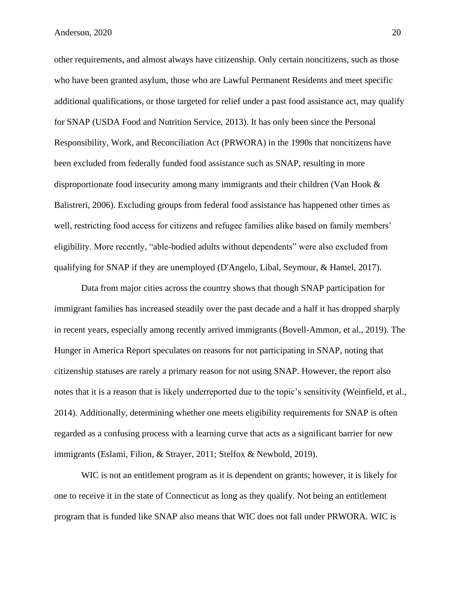other requirements, and almost always have citizenship. Only certain noncitizens, such as those who have been granted asylum, those who are Lawful Permanent Residents and meet specific additional qualifications, or those targeted for relief under a past food assistance act, may qualify for SNAP (USDA Food and Nutrition Service, 2013). It has only been since the Personal Responsibility, Work, and Reconciliation Act (PRWORA) in the 1990s that noncitizens have been excluded from federally funded food assistance such as SNAP, resulting in more disproportionate food insecurity among many immigrants and their children (Van Hook & Balistreri, 2006). Excluding groups from federal food assistance has happened other times as well, restricting food access for citizens and refugee families alike based on family members' eligibility. More recently, "able-bodied adults without dependents" were also excluded from qualifying for SNAP if they are unemployed (D'Angelo, Libal, Seymour, & Hamel, 2017).

Data from major cities across the country shows that though SNAP participation for immigrant families has increased steadily over the past decade and a half it has dropped sharply in recent years, especially among recently arrived immigrants (Bovell-Ammon, et al., 2019). The Hunger in America Report speculates on reasons for not participating in SNAP, noting that citizenship statuses are rarely a primary reason for not using SNAP. However, the report also notes that it is a reason that is likely underreported due to the topic's sensitivity (Weinfield, et al., 2014). Additionally, determining whether one meets eligibility requirements for SNAP is often regarded as a confusing process with a learning curve that acts as a significant barrier for new immigrants (Eslami, Filion, & Strayer, 2011; Stelfox & Newbold, 2019).

WIC is not an entitlement program as it is dependent on grants; however, it is likely for one to receive it in the state of Connecticut as long as they qualify. Not being an entitlement program that is funded like SNAP also means that WIC does not fall under PRWORA. WIC is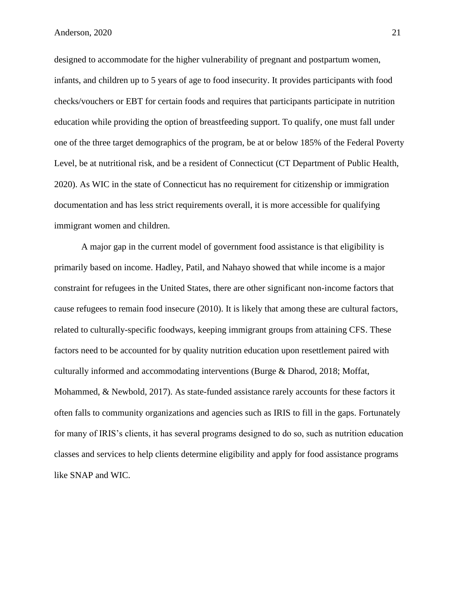designed to accommodate for the higher vulnerability of pregnant and postpartum women, infants, and children up to 5 years of age to food insecurity. It provides participants with food checks/vouchers or EBT for certain foods and requires that participants participate in nutrition education while providing the option of breastfeeding support. To qualify, one must fall under one of the three target demographics of the program, be at or below 185% of the Federal Poverty Level, be at nutritional risk, and be a resident of Connecticut (CT Department of Public Health, 2020). As WIC in the state of Connecticut has no requirement for citizenship or immigration documentation and has less strict requirements overall, it is more accessible for qualifying immigrant women and children.

A major gap in the current model of government food assistance is that eligibility is primarily based on income. Hadley, Patil, and Nahayo showed that while income is a major constraint for refugees in the United States, there are other significant non-income factors that cause refugees to remain food insecure (2010). It is likely that among these are cultural factors, related to culturally-specific foodways, keeping immigrant groups from attaining CFS. These factors need to be accounted for by quality nutrition education upon resettlement paired with culturally informed and accommodating interventions (Burge & Dharod, 2018; Moffat, Mohammed, & Newbold, 2017). As state-funded assistance rarely accounts for these factors it often falls to community organizations and agencies such as IRIS to fill in the gaps. Fortunately for many of IRIS's clients, it has several programs designed to do so, such as nutrition education classes and services to help clients determine eligibility and apply for food assistance programs like SNAP and WIC.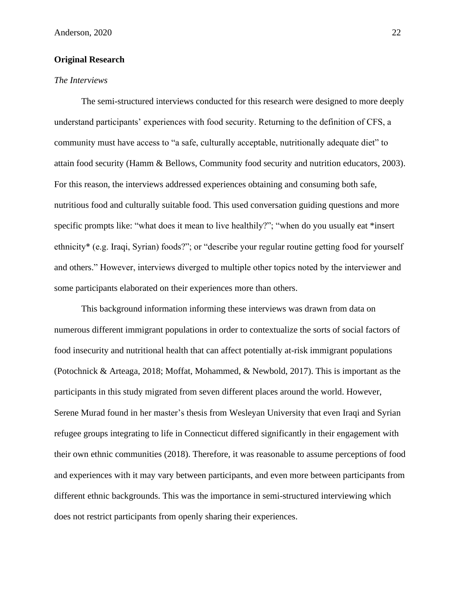## **Original Research**

#### *The Interviews*

The semi-structured interviews conducted for this research were designed to more deeply understand participants' experiences with food security. Returning to the definition of CFS, a community must have access to "a safe, culturally acceptable, nutritionally adequate diet" to attain food security (Hamm & Bellows, Community food security and nutrition educators, 2003). For this reason, the interviews addressed experiences obtaining and consuming both safe, nutritious food and culturally suitable food. This used conversation guiding questions and more specific prompts like: "what does it mean to live healthily?"; "when do you usually eat \*insert ethnicity\* (e.g. Iraqi, Syrian) foods?"; or "describe your regular routine getting food for yourself and others." However, interviews diverged to multiple other topics noted by the interviewer and some participants elaborated on their experiences more than others.

This background information informing these interviews was drawn from data on numerous different immigrant populations in order to contextualize the sorts of social factors of food insecurity and nutritional health that can affect potentially at-risk immigrant populations (Potochnick & Arteaga, 2018; Moffat, Mohammed, & Newbold, 2017). This is important as the participants in this study migrated from seven different places around the world. However, Serene Murad found in her master's thesis from Wesleyan University that even Iraqi and Syrian refugee groups integrating to life in Connecticut differed significantly in their engagement with their own ethnic communities (2018). Therefore, it was reasonable to assume perceptions of food and experiences with it may vary between participants, and even more between participants from different ethnic backgrounds. This was the importance in semi-structured interviewing which does not restrict participants from openly sharing their experiences.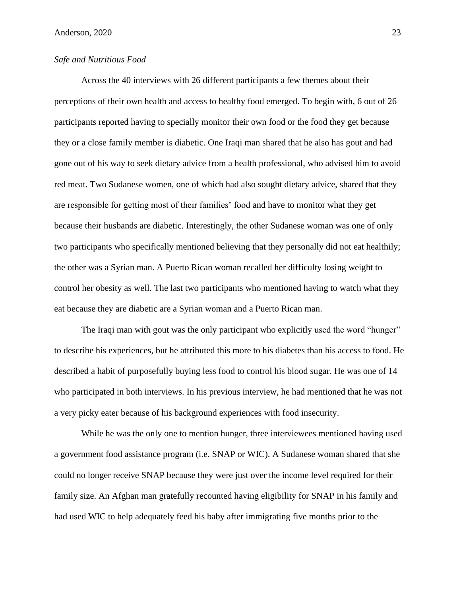## *Safe and Nutritious Food*

Across the 40 interviews with 26 different participants a few themes about their perceptions of their own health and access to healthy food emerged. To begin with, 6 out of 26 participants reported having to specially monitor their own food or the food they get because they or a close family member is diabetic. One Iraqi man shared that he also has gout and had gone out of his way to seek dietary advice from a health professional, who advised him to avoid red meat. Two Sudanese women, one of which had also sought dietary advice, shared that they are responsible for getting most of their families' food and have to monitor what they get because their husbands are diabetic. Interestingly, the other Sudanese woman was one of only two participants who specifically mentioned believing that they personally did not eat healthily; the other was a Syrian man. A Puerto Rican woman recalled her difficulty losing weight to control her obesity as well. The last two participants who mentioned having to watch what they eat because they are diabetic are a Syrian woman and a Puerto Rican man.

The Iraqi man with gout was the only participant who explicitly used the word "hunger" to describe his experiences, but he attributed this more to his diabetes than his access to food. He described a habit of purposefully buying less food to control his blood sugar. He was one of 14 who participated in both interviews. In his previous interview, he had mentioned that he was not a very picky eater because of his background experiences with food insecurity.

While he was the only one to mention hunger, three interviewees mentioned having used a government food assistance program (i.e. SNAP or WIC). A Sudanese woman shared that she could no longer receive SNAP because they were just over the income level required for their family size. An Afghan man gratefully recounted having eligibility for SNAP in his family and had used WIC to help adequately feed his baby after immigrating five months prior to the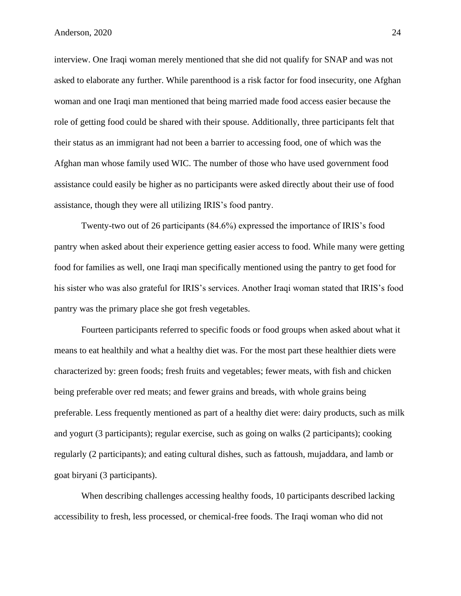interview. One Iraqi woman merely mentioned that she did not qualify for SNAP and was not asked to elaborate any further. While parenthood is a risk factor for food insecurity, one Afghan woman and one Iraqi man mentioned that being married made food access easier because the role of getting food could be shared with their spouse. Additionally, three participants felt that their status as an immigrant had not been a barrier to accessing food, one of which was the Afghan man whose family used WIC. The number of those who have used government food assistance could easily be higher as no participants were asked directly about their use of food assistance, though they were all utilizing IRIS's food pantry.

Twenty-two out of 26 participants (84.6%) expressed the importance of IRIS's food pantry when asked about their experience getting easier access to food. While many were getting food for families as well, one Iraqi man specifically mentioned using the pantry to get food for his sister who was also grateful for IRIS's services. Another Iraqi woman stated that IRIS's food pantry was the primary place she got fresh vegetables.

Fourteen participants referred to specific foods or food groups when asked about what it means to eat healthily and what a healthy diet was. For the most part these healthier diets were characterized by: green foods; fresh fruits and vegetables; fewer meats, with fish and chicken being preferable over red meats; and fewer grains and breads, with whole grains being preferable. Less frequently mentioned as part of a healthy diet were: dairy products, such as milk and yogurt (3 participants); regular exercise, such as going on walks (2 participants); cooking regularly (2 participants); and eating cultural dishes, such as fattoush, mujaddara, and lamb or goat biryani (3 participants).

When describing challenges accessing healthy foods, 10 participants described lacking accessibility to fresh, less processed, or chemical-free foods. The Iraqi woman who did not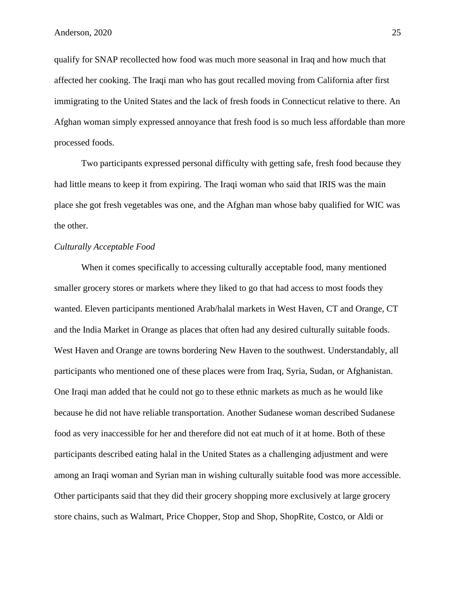qualify for SNAP recollected how food was much more seasonal in Iraq and how much that affected her cooking. The Iraqi man who has gout recalled moving from California after first immigrating to the United States and the lack of fresh foods in Connecticut relative to there. An Afghan woman simply expressed annoyance that fresh food is so much less affordable than more processed foods.

Two participants expressed personal difficulty with getting safe, fresh food because they had little means to keep it from expiring. The Iraqi woman who said that IRIS was the main place she got fresh vegetables was one, and the Afghan man whose baby qualified for WIC was the other.

#### *Culturally Acceptable Food*

When it comes specifically to accessing culturally acceptable food, many mentioned smaller grocery stores or markets where they liked to go that had access to most foods they wanted. Eleven participants mentioned Arab/halal markets in West Haven, CT and Orange, CT and the India Market in Orange as places that often had any desired culturally suitable foods. West Haven and Orange are towns bordering New Haven to the southwest. Understandably, all participants who mentioned one of these places were from Iraq, Syria, Sudan, or Afghanistan. One Iraqi man added that he could not go to these ethnic markets as much as he would like because he did not have reliable transportation. Another Sudanese woman described Sudanese food as very inaccessible for her and therefore did not eat much of it at home. Both of these participants described eating halal in the United States as a challenging adjustment and were among an Iraqi woman and Syrian man in wishing culturally suitable food was more accessible. Other participants said that they did their grocery shopping more exclusively at large grocery store chains, such as Walmart, Price Chopper, Stop and Shop, ShopRite, Costco, or Aldi or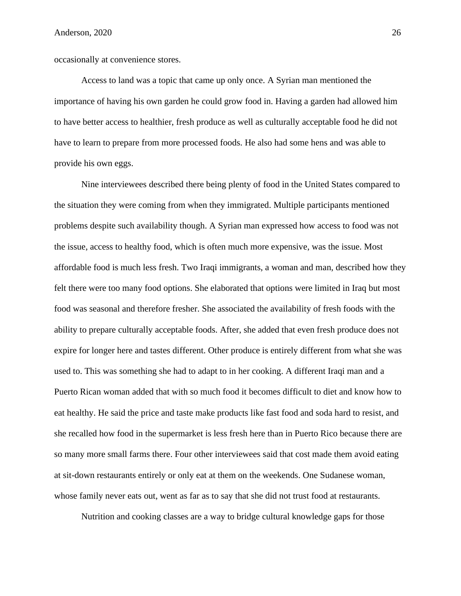occasionally at convenience stores.

Access to land was a topic that came up only once. A Syrian man mentioned the importance of having his own garden he could grow food in. Having a garden had allowed him to have better access to healthier, fresh produce as well as culturally acceptable food he did not have to learn to prepare from more processed foods. He also had some hens and was able to provide his own eggs.

Nine interviewees described there being plenty of food in the United States compared to the situation they were coming from when they immigrated. Multiple participants mentioned problems despite such availability though. A Syrian man expressed how access to food was not the issue, access to healthy food, which is often much more expensive, was the issue. Most affordable food is much less fresh. Two Iraqi immigrants, a woman and man, described how they felt there were too many food options. She elaborated that options were limited in Iraq but most food was seasonal and therefore fresher. She associated the availability of fresh foods with the ability to prepare culturally acceptable foods. After, she added that even fresh produce does not expire for longer here and tastes different. Other produce is entirely different from what she was used to. This was something she had to adapt to in her cooking. A different Iraqi man and a Puerto Rican woman added that with so much food it becomes difficult to diet and know how to eat healthy. He said the price and taste make products like fast food and soda hard to resist, and she recalled how food in the supermarket is less fresh here than in Puerto Rico because there are so many more small farms there. Four other interviewees said that cost made them avoid eating at sit-down restaurants entirely or only eat at them on the weekends. One Sudanese woman, whose family never eats out, went as far as to say that she did not trust food at restaurants.

Nutrition and cooking classes are a way to bridge cultural knowledge gaps for those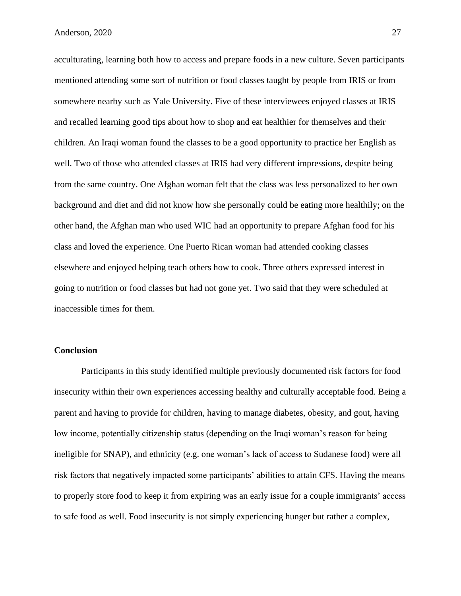acculturating, learning both how to access and prepare foods in a new culture. Seven participants mentioned attending some sort of nutrition or food classes taught by people from IRIS or from somewhere nearby such as Yale University. Five of these interviewees enjoyed classes at IRIS and recalled learning good tips about how to shop and eat healthier for themselves and their children. An Iraqi woman found the classes to be a good opportunity to practice her English as well. Two of those who attended classes at IRIS had very different impressions, despite being from the same country. One Afghan woman felt that the class was less personalized to her own background and diet and did not know how she personally could be eating more healthily; on the other hand, the Afghan man who used WIC had an opportunity to prepare Afghan food for his class and loved the experience. One Puerto Rican woman had attended cooking classes elsewhere and enjoyed helping teach others how to cook. Three others expressed interest in going to nutrition or food classes but had not gone yet. Two said that they were scheduled at inaccessible times for them.

#### **Conclusion**

Participants in this study identified multiple previously documented risk factors for food insecurity within their own experiences accessing healthy and culturally acceptable food. Being a parent and having to provide for children, having to manage diabetes, obesity, and gout, having low income, potentially citizenship status (depending on the Iraqi woman's reason for being ineligible for SNAP), and ethnicity (e.g. one woman's lack of access to Sudanese food) were all risk factors that negatively impacted some participants' abilities to attain CFS. Having the means to properly store food to keep it from expiring was an early issue for a couple immigrants' access to safe food as well. Food insecurity is not simply experiencing hunger but rather a complex,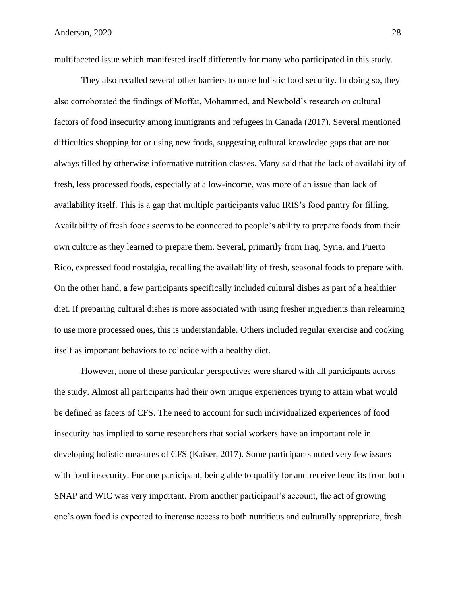multifaceted issue which manifested itself differently for many who participated in this study.

They also recalled several other barriers to more holistic food security. In doing so, they also corroborated the findings of Moffat, Mohammed, and Newbold's research on cultural factors of food insecurity among immigrants and refugees in Canada (2017). Several mentioned difficulties shopping for or using new foods, suggesting cultural knowledge gaps that are not always filled by otherwise informative nutrition classes. Many said that the lack of availability of fresh, less processed foods, especially at a low-income, was more of an issue than lack of availability itself. This is a gap that multiple participants value IRIS's food pantry for filling. Availability of fresh foods seems to be connected to people's ability to prepare foods from their own culture as they learned to prepare them. Several, primarily from Iraq, Syria, and Puerto Rico, expressed food nostalgia, recalling the availability of fresh, seasonal foods to prepare with. On the other hand, a few participants specifically included cultural dishes as part of a healthier diet. If preparing cultural dishes is more associated with using fresher ingredients than relearning to use more processed ones, this is understandable. Others included regular exercise and cooking itself as important behaviors to coincide with a healthy diet.

However, none of these particular perspectives were shared with all participants across the study. Almost all participants had their own unique experiences trying to attain what would be defined as facets of CFS. The need to account for such individualized experiences of food insecurity has implied to some researchers that social workers have an important role in developing holistic measures of CFS (Kaiser, 2017). Some participants noted very few issues with food insecurity. For one participant, being able to qualify for and receive benefits from both SNAP and WIC was very important. From another participant's account, the act of growing one's own food is expected to increase access to both nutritious and culturally appropriate, fresh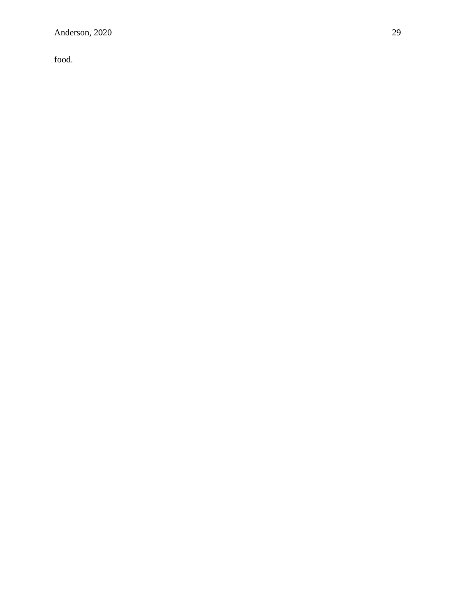food.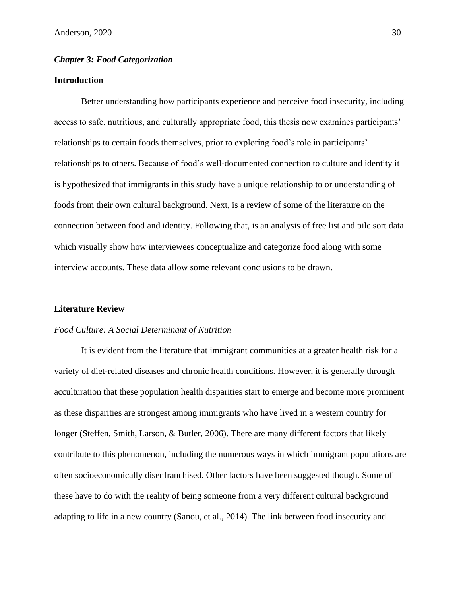## *Chapter 3: Food Categorization*

## **Introduction**

Better understanding how participants experience and perceive food insecurity, including access to safe, nutritious, and culturally appropriate food, this thesis now examines participants' relationships to certain foods themselves, prior to exploring food's role in participants' relationships to others. Because of food's well-documented connection to culture and identity it is hypothesized that immigrants in this study have a unique relationship to or understanding of foods from their own cultural background. Next, is a review of some of the literature on the connection between food and identity. Following that, is an analysis of free list and pile sort data which visually show how interviewees conceptualize and categorize food along with some interview accounts. These data allow some relevant conclusions to be drawn.

#### **Literature Review**

#### *Food Culture: A Social Determinant of Nutrition*

It is evident from the literature that immigrant communities at a greater health risk for a variety of diet-related diseases and chronic health conditions. However, it is generally through acculturation that these population health disparities start to emerge and become more prominent as these disparities are strongest among immigrants who have lived in a western country for longer (Steffen, Smith, Larson, & Butler, 2006). There are many different factors that likely contribute to this phenomenon, including the numerous ways in which immigrant populations are often socioeconomically disenfranchised. Other factors have been suggested though. Some of these have to do with the reality of being someone from a very different cultural background adapting to life in a new country (Sanou, et al., 2014). The link between food insecurity and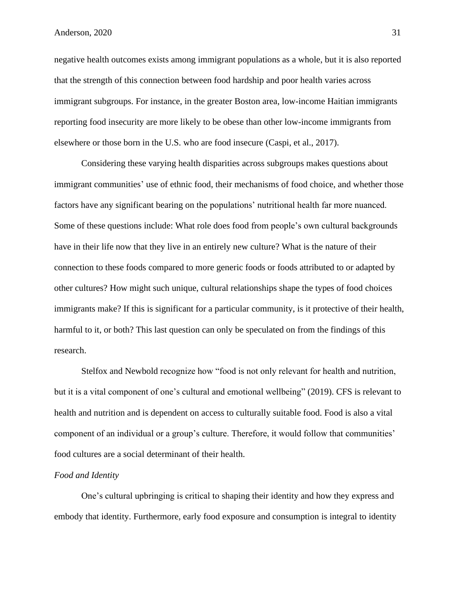negative health outcomes exists among immigrant populations as a whole, but it is also reported that the strength of this connection between food hardship and poor health varies across immigrant subgroups. For instance, in the greater Boston area, low-income Haitian immigrants reporting food insecurity are more likely to be obese than other low-income immigrants from elsewhere or those born in the U.S. who are food insecure (Caspi, et al., 2017).

Considering these varying health disparities across subgroups makes questions about immigrant communities' use of ethnic food, their mechanisms of food choice, and whether those factors have any significant bearing on the populations' nutritional health far more nuanced. Some of these questions include: What role does food from people's own cultural backgrounds have in their life now that they live in an entirely new culture? What is the nature of their connection to these foods compared to more generic foods or foods attributed to or adapted by other cultures? How might such unique, cultural relationships shape the types of food choices immigrants make? If this is significant for a particular community, is it protective of their health, harmful to it, or both? This last question can only be speculated on from the findings of this research.

Stelfox and Newbold recognize how "food is not only relevant for health and nutrition, but it is a vital component of one's cultural and emotional wellbeing" (2019). CFS is relevant to health and nutrition and is dependent on access to culturally suitable food. Food is also a vital component of an individual or a group's culture. Therefore, it would follow that communities' food cultures are a social determinant of their health.

#### *Food and Identity*

One's cultural upbringing is critical to shaping their identity and how they express and embody that identity. Furthermore, early food exposure and consumption is integral to identity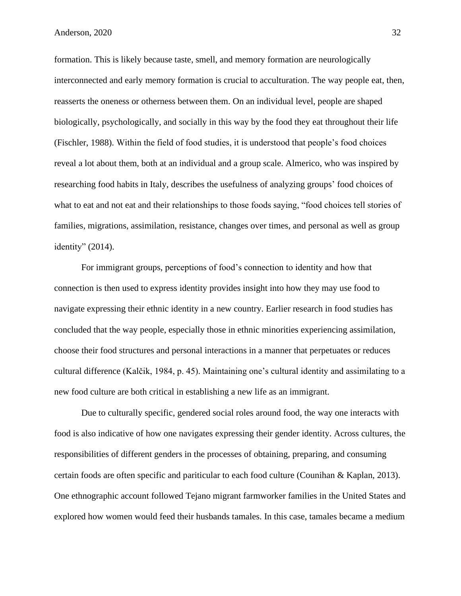formation. This is likely because taste, smell, and memory formation are neurologically interconnected and early memory formation is crucial to acculturation. The way people eat, then, reasserts the oneness or otherness between them. On an individual level, people are shaped biologically, psychologically, and socially in this way by the food they eat throughout their life (Fischler, 1988). Within the field of food studies, it is understood that people's food choices reveal a lot about them, both at an individual and a group scale. Almerico, who was inspired by researching food habits in Italy, describes the usefulness of analyzing groups' food choices of what to eat and not eat and their relationships to those foods saying, "food choices tell stories of families, migrations, assimilation, resistance, changes over times, and personal as well as group identity" (2014).

For immigrant groups, perceptions of food's connection to identity and how that connection is then used to express identity provides insight into how they may use food to navigate expressing their ethnic identity in a new country. Earlier research in food studies has concluded that the way people, especially those in ethnic minorities experiencing assimilation, choose their food structures and personal interactions in a manner that perpetuates or reduces cultural difference (Kalčik, 1984, p. 45). Maintaining one's cultural identity and assimilating to a new food culture are both critical in establishing a new life as an immigrant.

Due to culturally specific, gendered social roles around food, the way one interacts with food is also indicative of how one navigates expressing their gender identity. Across cultures, the responsibilities of different genders in the processes of obtaining, preparing, and consuming certain foods are often specific and pariticular to each food culture (Counihan & Kaplan, 2013). One ethnographic account followed Tejano migrant farmworker families in the United States and explored how women would feed their husbands tamales. In this case, tamales became a medium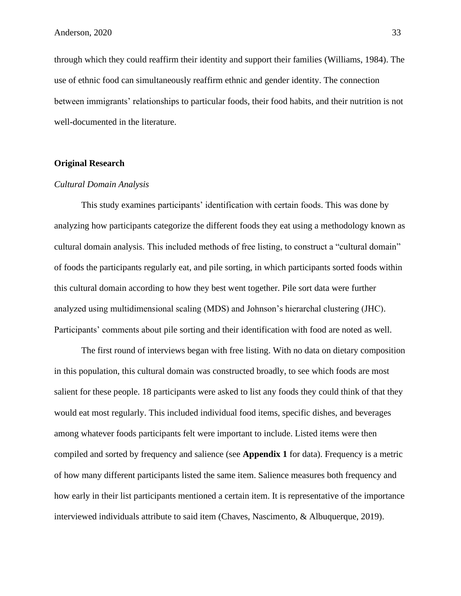through which they could reaffirm their identity and support their families (Williams, 1984). The use of ethnic food can simultaneously reaffirm ethnic and gender identity. The connection between immigrants' relationships to particular foods, their food habits, and their nutrition is not well-documented in the literature.

#### **Original Research**

#### *Cultural Domain Analysis*

This study examines participants' identification with certain foods. This was done by analyzing how participants categorize the different foods they eat using a methodology known as cultural domain analysis. This included methods of free listing, to construct a "cultural domain" of foods the participants regularly eat, and pile sorting, in which participants sorted foods within this cultural domain according to how they best went together. Pile sort data were further analyzed using multidimensional scaling (MDS) and Johnson's hierarchal clustering (JHC). Participants' comments about pile sorting and their identification with food are noted as well.

The first round of interviews began with free listing. With no data on dietary composition in this population, this cultural domain was constructed broadly, to see which foods are most salient for these people. 18 participants were asked to list any foods they could think of that they would eat most regularly. This included individual food items, specific dishes, and beverages among whatever foods participants felt were important to include. Listed items were then compiled and sorted by frequency and salience (see **Appendix 1** for data). Frequency is a metric of how many different participants listed the same item. Salience measures both frequency and how early in their list participants mentioned a certain item. It is representative of the importance interviewed individuals attribute to said item (Chaves, Nascimento, & Albuquerque, 2019).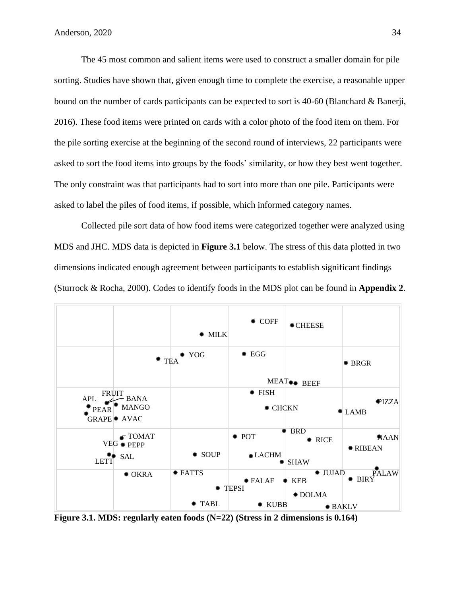The 45 most common and salient items were used to construct a smaller domain for pile sorting. Studies have shown that, given enough time to complete the exercise, a reasonable upper bound on the number of cards participants can be expected to sort is 40-60 (Blanchard & Banerji, 2016). These food items were printed on cards with a color photo of the food item on them. For the pile sorting exercise at the beginning of the second round of interviews, 22 participants were asked to sort the food items into groups by the foods' similarity, or how they best went together. The only constraint was that participants had to sort into more than one pile. Participants were asked to label the piles of food items, if possible, which informed category names.

Collected pile sort data of how food items were categorized together were analyzed using MDS and JHC. MDS data is depicted in **Figure 3.1** below. The stress of this data plotted in two dimensions indicated enough agreement between participants to establish significant findings (Sturrock & Rocha, 2000). Codes to identify foods in the MDS plot can be found in **Appendix 2**.



**Figure 3.1. MDS: regularly eaten foods (N=22) (Stress in 2 dimensions is 0.164)**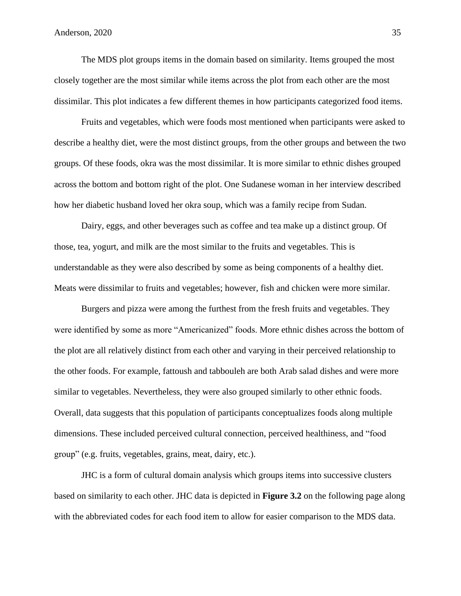The MDS plot groups items in the domain based on similarity. Items grouped the most closely together are the most similar while items across the plot from each other are the most dissimilar. This plot indicates a few different themes in how participants categorized food items.

Fruits and vegetables, which were foods most mentioned when participants were asked to describe a healthy diet, were the most distinct groups, from the other groups and between the two groups. Of these foods, okra was the most dissimilar. It is more similar to ethnic dishes grouped across the bottom and bottom right of the plot. One Sudanese woman in her interview described how her diabetic husband loved her okra soup, which was a family recipe from Sudan.

Dairy, eggs, and other beverages such as coffee and tea make up a distinct group. Of those, tea, yogurt, and milk are the most similar to the fruits and vegetables. This is understandable as they were also described by some as being components of a healthy diet. Meats were dissimilar to fruits and vegetables; however, fish and chicken were more similar.

Burgers and pizza were among the furthest from the fresh fruits and vegetables. They were identified by some as more "Americanized" foods. More ethnic dishes across the bottom of the plot are all relatively distinct from each other and varying in their perceived relationship to the other foods. For example, fattoush and tabbouleh are both Arab salad dishes and were more similar to vegetables. Nevertheless, they were also grouped similarly to other ethnic foods. Overall, data suggests that this population of participants conceptualizes foods along multiple dimensions. These included perceived cultural connection, perceived healthiness, and "food group" (e.g. fruits, vegetables, grains, meat, dairy, etc.).

JHC is a form of cultural domain analysis which groups items into successive clusters based on similarity to each other. JHC data is depicted in **Figure 3.2** on the following page along with the abbreviated codes for each food item to allow for easier comparison to the MDS data.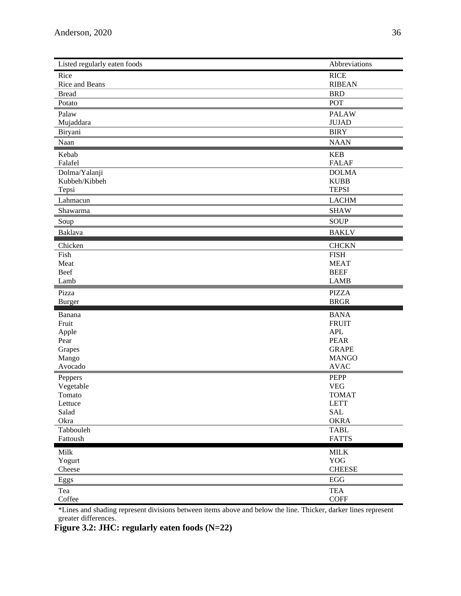| Listed regularly eaten foods | Abbreviations               |
|------------------------------|-----------------------------|
| Rice                         | <b>RICE</b>                 |
| Rice and Beans               | <b>RIBEAN</b>               |
| <b>Bread</b>                 | <b>BRD</b>                  |
| Potato                       | POT                         |
| Palaw                        | <b>PALAW</b>                |
| Mujaddara                    | <b>JUJAD</b>                |
| Biryani                      | <b>BIRY</b>                 |
| Naan                         | <b>NAAN</b>                 |
| Kebab                        | <b>KEB</b>                  |
| Falafel                      | <b>FALAF</b>                |
| Dolma/Yalanji                | <b>DOLMA</b>                |
| Kubbeh/Kibbeh                | <b>KUBB</b>                 |
| Tepsi                        | <b>TEPSI</b>                |
| Lahmacun                     | <b>LACHM</b>                |
| Shawarma                     | <b>SHAW</b>                 |
| Soup                         | <b>SOUP</b>                 |
| Baklava                      | <b>BAKLV</b>                |
| Chicken                      | <b>CHCKN</b>                |
| Fish                         | <b>FISH</b>                 |
| Meat                         | <b>MEAT</b>                 |
| Beef                         | <b>BEEF</b>                 |
| Lamb                         | <b>LAMB</b>                 |
| Pizza                        | <b>PIZZA</b>                |
| <b>Burger</b>                | <b>BRGR</b>                 |
| Banana                       | <b>BANA</b>                 |
| Fruit                        | <b>FRUIT</b>                |
| Apple                        | <b>APL</b>                  |
| Pear                         | <b>PEAR</b>                 |
| Grapes                       | <b>GRAPE</b>                |
| Mango<br>Avocado             | <b>MANGO</b><br><b>AVAC</b> |
|                              |                             |
| Peppers                      | <b>PEPP</b>                 |
| Vegetable                    | <b>VEG</b>                  |
| Tomato                       | <b>TOMAT</b>                |
| Lettuce                      | <b>LETT</b>                 |
| Salad<br>Okra                | SAL                         |
|                              | <b>OKRA</b>                 |
| Tabbouleh                    | <b>TABL</b>                 |
| Fattoush                     | <b>FATTS</b>                |
| Milk                         | <b>MILK</b>                 |
| Yogurt                       | <b>YOG</b>                  |
| Cheese                       | <b>CHEESE</b>               |
| Eggs                         | $EGG$                       |
| Tea                          | <b>TEA</b>                  |
| Coffee                       | <b>COFF</b>                 |

\*Lines and shading represent divisions between items above and below the line. Thicker, darker lines represent greater differences.

**Figure 3.2: JHC: regularly eaten foods (N=22)**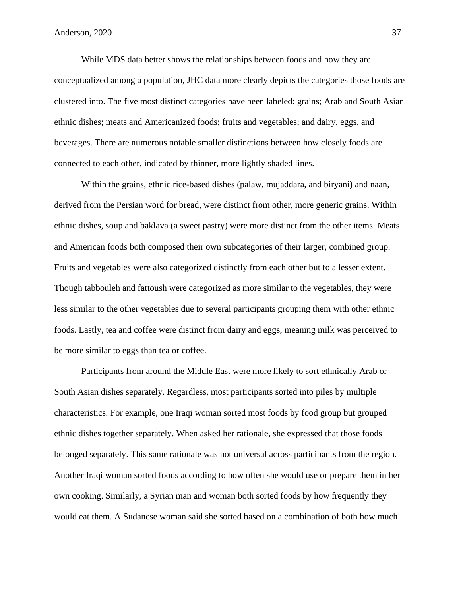While MDS data better shows the relationships between foods and how they are conceptualized among a population, JHC data more clearly depicts the categories those foods are clustered into. The five most distinct categories have been labeled: grains; Arab and South Asian ethnic dishes; meats and Americanized foods; fruits and vegetables; and dairy, eggs, and beverages. There are numerous notable smaller distinctions between how closely foods are connected to each other, indicated by thinner, more lightly shaded lines.

Within the grains, ethnic rice-based dishes (palaw, mujaddara, and biryani) and naan, derived from the Persian word for bread, were distinct from other, more generic grains. Within ethnic dishes, soup and baklava (a sweet pastry) were more distinct from the other items. Meats and American foods both composed their own subcategories of their larger, combined group. Fruits and vegetables were also categorized distinctly from each other but to a lesser extent. Though tabbouleh and fattoush were categorized as more similar to the vegetables, they were less similar to the other vegetables due to several participants grouping them with other ethnic foods. Lastly, tea and coffee were distinct from dairy and eggs, meaning milk was perceived to be more similar to eggs than tea or coffee.

Participants from around the Middle East were more likely to sort ethnically Arab or South Asian dishes separately. Regardless, most participants sorted into piles by multiple characteristics. For example, one Iraqi woman sorted most foods by food group but grouped ethnic dishes together separately. When asked her rationale, she expressed that those foods belonged separately. This same rationale was not universal across participants from the region. Another Iraqi woman sorted foods according to how often she would use or prepare them in her own cooking. Similarly, a Syrian man and woman both sorted foods by how frequently they would eat them. A Sudanese woman said she sorted based on a combination of both how much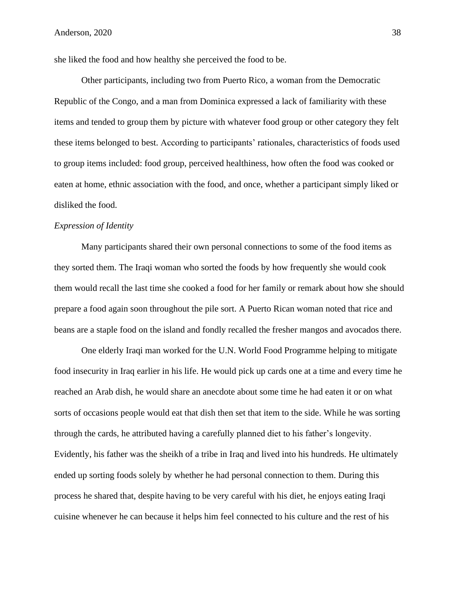she liked the food and how healthy she perceived the food to be.

Other participants, including two from Puerto Rico, a woman from the Democratic Republic of the Congo, and a man from Dominica expressed a lack of familiarity with these items and tended to group them by picture with whatever food group or other category they felt these items belonged to best. According to participants' rationales, characteristics of foods used to group items included: food group, perceived healthiness, how often the food was cooked or eaten at home, ethnic association with the food, and once, whether a participant simply liked or disliked the food.

#### *Expression of Identity*

Many participants shared their own personal connections to some of the food items as they sorted them. The Iraqi woman who sorted the foods by how frequently she would cook them would recall the last time she cooked a food for her family or remark about how she should prepare a food again soon throughout the pile sort. A Puerto Rican woman noted that rice and beans are a staple food on the island and fondly recalled the fresher mangos and avocados there.

One elderly Iraqi man worked for the U.N. World Food Programme helping to mitigate food insecurity in Iraq earlier in his life. He would pick up cards one at a time and every time he reached an Arab dish, he would share an anecdote about some time he had eaten it or on what sorts of occasions people would eat that dish then set that item to the side. While he was sorting through the cards, he attributed having a carefully planned diet to his father's longevity. Evidently, his father was the sheikh of a tribe in Iraq and lived into his hundreds. He ultimately ended up sorting foods solely by whether he had personal connection to them. During this process he shared that, despite having to be very careful with his diet, he enjoys eating Iraqi cuisine whenever he can because it helps him feel connected to his culture and the rest of his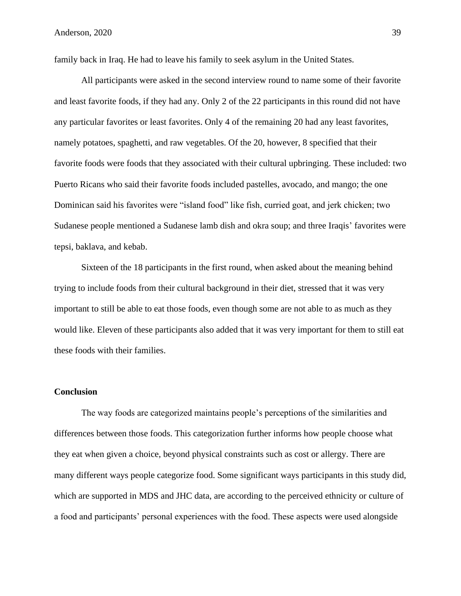family back in Iraq. He had to leave his family to seek asylum in the United States.

All participants were asked in the second interview round to name some of their favorite and least favorite foods, if they had any. Only 2 of the 22 participants in this round did not have any particular favorites or least favorites. Only 4 of the remaining 20 had any least favorites, namely potatoes, spaghetti, and raw vegetables. Of the 20, however, 8 specified that their favorite foods were foods that they associated with their cultural upbringing. These included: two Puerto Ricans who said their favorite foods included pastelles, avocado, and mango; the one Dominican said his favorites were "island food" like fish, curried goat, and jerk chicken; two Sudanese people mentioned a Sudanese lamb dish and okra soup; and three Iraqis' favorites were tepsi, baklava, and kebab.

Sixteen of the 18 participants in the first round, when asked about the meaning behind trying to include foods from their cultural background in their diet, stressed that it was very important to still be able to eat those foods, even though some are not able to as much as they would like. Eleven of these participants also added that it was very important for them to still eat these foods with their families.

#### **Conclusion**

The way foods are categorized maintains people's perceptions of the similarities and differences between those foods. This categorization further informs how people choose what they eat when given a choice, beyond physical constraints such as cost or allergy. There are many different ways people categorize food. Some significant ways participants in this study did, which are supported in MDS and JHC data, are according to the perceived ethnicity or culture of a food and participants' personal experiences with the food. These aspects were used alongside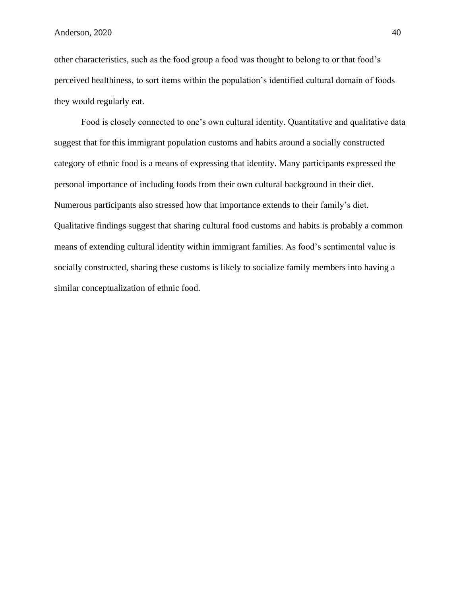other characteristics, such as the food group a food was thought to belong to or that food's perceived healthiness, to sort items within the population's identified cultural domain of foods they would regularly eat.

Food is closely connected to one's own cultural identity. Quantitative and qualitative data suggest that for this immigrant population customs and habits around a socially constructed category of ethnic food is a means of expressing that identity. Many participants expressed the personal importance of including foods from their own cultural background in their diet. Numerous participants also stressed how that importance extends to their family's diet. Qualitative findings suggest that sharing cultural food customs and habits is probably a common means of extending cultural identity within immigrant families. As food's sentimental value is socially constructed, sharing these customs is likely to socialize family members into having a similar conceptualization of ethnic food.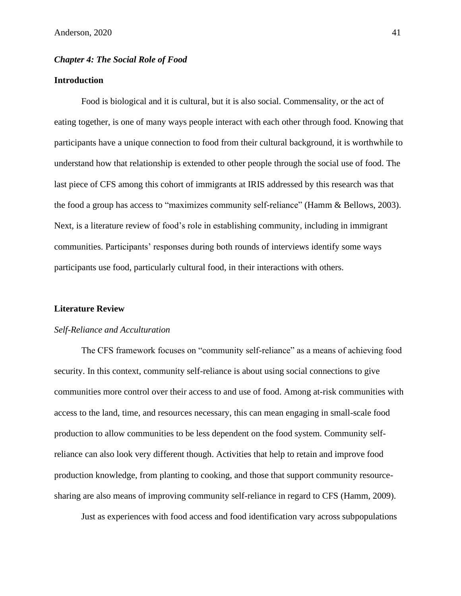## *Chapter 4: The Social Role of Food*

## **Introduction**

Food is biological and it is cultural, but it is also social. Commensality, or the act of eating together, is one of many ways people interact with each other through food. Knowing that participants have a unique connection to food from their cultural background, it is worthwhile to understand how that relationship is extended to other people through the social use of food. The last piece of CFS among this cohort of immigrants at IRIS addressed by this research was that the food a group has access to "maximizes community self-reliance" (Hamm & Bellows, 2003). Next, is a literature review of food's role in establishing community, including in immigrant communities. Participants' responses during both rounds of interviews identify some ways participants use food, particularly cultural food, in their interactions with others.

#### **Literature Review**

#### *Self-Reliance and Acculturation*

The CFS framework focuses on "community self-reliance" as a means of achieving food security. In this context, community self-reliance is about using social connections to give communities more control over their access to and use of food. Among at-risk communities with access to the land, time, and resources necessary, this can mean engaging in small-scale food production to allow communities to be less dependent on the food system. Community selfreliance can also look very different though. Activities that help to retain and improve food production knowledge, from planting to cooking, and those that support community resourcesharing are also means of improving community self-reliance in regard to CFS (Hamm, 2009).

Just as experiences with food access and food identification vary across subpopulations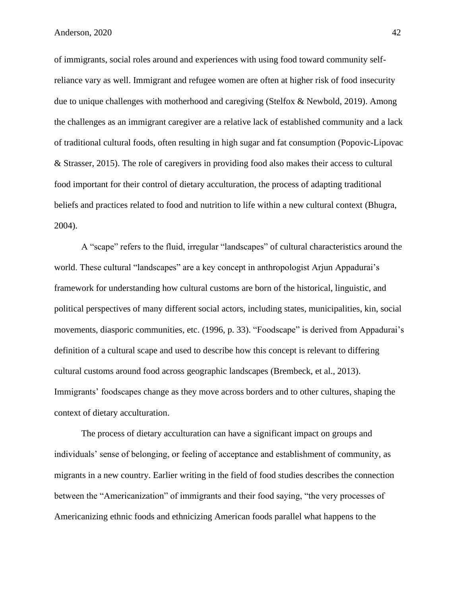of immigrants, social roles around and experiences with using food toward community selfreliance vary as well. Immigrant and refugee women are often at higher risk of food insecurity due to unique challenges with motherhood and caregiving (Stelfox & Newbold, 2019). Among the challenges as an immigrant caregiver are a relative lack of established community and a lack of traditional cultural foods, often resulting in high sugar and fat consumption (Popovic-Lipovac & Strasser, 2015). The role of caregivers in providing food also makes their access to cultural food important for their control of dietary acculturation, the process of adapting traditional beliefs and practices related to food and nutrition to life within a new cultural context (Bhugra, 2004).

A "scape" refers to the fluid, irregular "landscapes" of cultural characteristics around the world. These cultural "landscapes" are a key concept in anthropologist Arjun Appadurai's framework for understanding how cultural customs are born of the historical, linguistic, and political perspectives of many different social actors, including states, municipalities, kin, social movements, diasporic communities, etc. (1996, p. 33). "Foodscape" is derived from Appadurai's definition of a cultural scape and used to describe how this concept is relevant to differing cultural customs around food across geographic landscapes (Brembeck, et al., 2013). Immigrants' foodscapes change as they move across borders and to other cultures, shaping the context of dietary acculturation.

The process of dietary acculturation can have a significant impact on groups and individuals' sense of belonging, or feeling of acceptance and establishment of community, as migrants in a new country. Earlier writing in the field of food studies describes the connection between the "Americanization" of immigrants and their food saying, "the very processes of Americanizing ethnic foods and ethnicizing American foods parallel what happens to the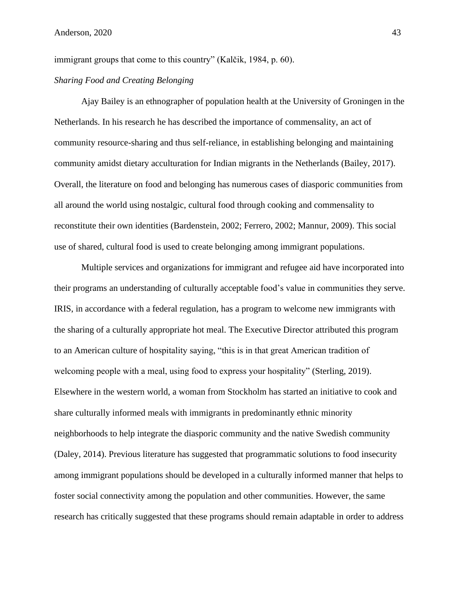immigrant groups that come to this country" (Kalčik, 1984, p. 60).

## *Sharing Food and Creating Belonging*

Ajay Bailey is an ethnographer of population health at the University of Groningen in the Netherlands. In his research he has described the importance of commensality, an act of community resource-sharing and thus self-reliance, in establishing belonging and maintaining community amidst dietary acculturation for Indian migrants in the Netherlands (Bailey, 2017). Overall, the literature on food and belonging has numerous cases of diasporic communities from all around the world using nostalgic, cultural food through cooking and commensality to reconstitute their own identities (Bardenstein, 2002; Ferrero, 2002; Mannur, 2009). This social use of shared, cultural food is used to create belonging among immigrant populations.

Multiple services and organizations for immigrant and refugee aid have incorporated into their programs an understanding of culturally acceptable food's value in communities they serve. IRIS, in accordance with a federal regulation, has a program to welcome new immigrants with the sharing of a culturally appropriate hot meal. The Executive Director attributed this program to an American culture of hospitality saying, "this is in that great American tradition of welcoming people with a meal, using food to express your hospitality" (Sterling, 2019). Elsewhere in the western world, a woman from Stockholm has started an initiative to cook and share culturally informed meals with immigrants in predominantly ethnic minority neighborhoods to help integrate the diasporic community and the native Swedish community (Daley, 2014). Previous literature has suggested that programmatic solutions to food insecurity among immigrant populations should be developed in a culturally informed manner that helps to foster social connectivity among the population and other communities. However, the same research has critically suggested that these programs should remain adaptable in order to address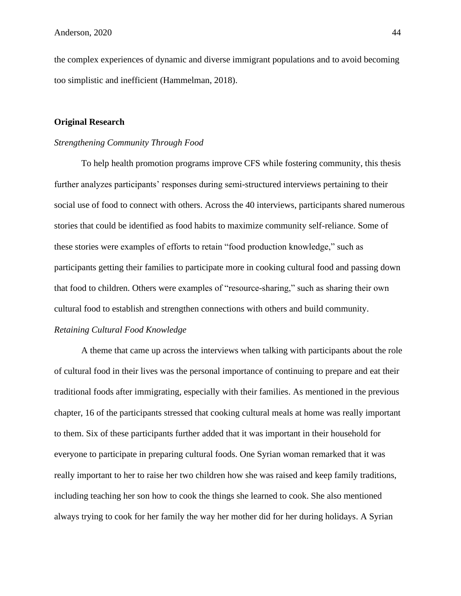the complex experiences of dynamic and diverse immigrant populations and to avoid becoming too simplistic and inefficient (Hammelman, 2018).

#### **Original Research**

#### *Strengthening Community Through Food*

To help health promotion programs improve CFS while fostering community, this thesis further analyzes participants' responses during semi-structured interviews pertaining to their social use of food to connect with others. Across the 40 interviews, participants shared numerous stories that could be identified as food habits to maximize community self-reliance. Some of these stories were examples of efforts to retain "food production knowledge," such as participants getting their families to participate more in cooking cultural food and passing down that food to children. Others were examples of "resource-sharing," such as sharing their own cultural food to establish and strengthen connections with others and build community. *Retaining Cultural Food Knowledge*

A theme that came up across the interviews when talking with participants about the role of cultural food in their lives was the personal importance of continuing to prepare and eat their traditional foods after immigrating, especially with their families. As mentioned in the previous chapter, 16 of the participants stressed that cooking cultural meals at home was really important to them. Six of these participants further added that it was important in their household for everyone to participate in preparing cultural foods. One Syrian woman remarked that it was really important to her to raise her two children how she was raised and keep family traditions, including teaching her son how to cook the things she learned to cook. She also mentioned always trying to cook for her family the way her mother did for her during holidays. A Syrian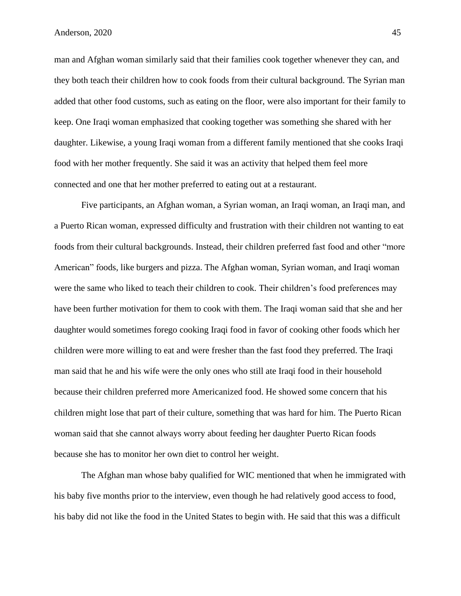man and Afghan woman similarly said that their families cook together whenever they can, and they both teach their children how to cook foods from their cultural background. The Syrian man added that other food customs, such as eating on the floor, were also important for their family to keep. One Iraqi woman emphasized that cooking together was something she shared with her daughter. Likewise, a young Iraqi woman from a different family mentioned that she cooks Iraqi food with her mother frequently. She said it was an activity that helped them feel more connected and one that her mother preferred to eating out at a restaurant.

Five participants, an Afghan woman, a Syrian woman, an Iraqi woman, an Iraqi man, and a Puerto Rican woman, expressed difficulty and frustration with their children not wanting to eat foods from their cultural backgrounds. Instead, their children preferred fast food and other "more American" foods, like burgers and pizza. The Afghan woman, Syrian woman, and Iraqi woman were the same who liked to teach their children to cook. Their children's food preferences may have been further motivation for them to cook with them. The Iraqi woman said that she and her daughter would sometimes forego cooking Iraqi food in favor of cooking other foods which her children were more willing to eat and were fresher than the fast food they preferred. The Iraqi man said that he and his wife were the only ones who still ate Iraqi food in their household because their children preferred more Americanized food. He showed some concern that his children might lose that part of their culture, something that was hard for him. The Puerto Rican woman said that she cannot always worry about feeding her daughter Puerto Rican foods because she has to monitor her own diet to control her weight.

The Afghan man whose baby qualified for WIC mentioned that when he immigrated with his baby five months prior to the interview, even though he had relatively good access to food, his baby did not like the food in the United States to begin with. He said that this was a difficult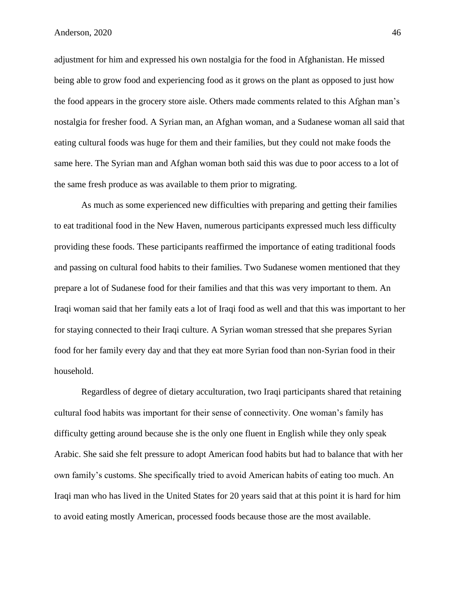adjustment for him and expressed his own nostalgia for the food in Afghanistan. He missed being able to grow food and experiencing food as it grows on the plant as opposed to just how the food appears in the grocery store aisle. Others made comments related to this Afghan man's nostalgia for fresher food. A Syrian man, an Afghan woman, and a Sudanese woman all said that eating cultural foods was huge for them and their families, but they could not make foods the same here. The Syrian man and Afghan woman both said this was due to poor access to a lot of the same fresh produce as was available to them prior to migrating.

As much as some experienced new difficulties with preparing and getting their families to eat traditional food in the New Haven, numerous participants expressed much less difficulty providing these foods. These participants reaffirmed the importance of eating traditional foods and passing on cultural food habits to their families. Two Sudanese women mentioned that they prepare a lot of Sudanese food for their families and that this was very important to them. An Iraqi woman said that her family eats a lot of Iraqi food as well and that this was important to her for staying connected to their Iraqi culture. A Syrian woman stressed that she prepares Syrian food for her family every day and that they eat more Syrian food than non-Syrian food in their household.

Regardless of degree of dietary acculturation, two Iraqi participants shared that retaining cultural food habits was important for their sense of connectivity. One woman's family has difficulty getting around because she is the only one fluent in English while they only speak Arabic. She said she felt pressure to adopt American food habits but had to balance that with her own family's customs. She specifically tried to avoid American habits of eating too much. An Iraqi man who has lived in the United States for 20 years said that at this point it is hard for him to avoid eating mostly American, processed foods because those are the most available.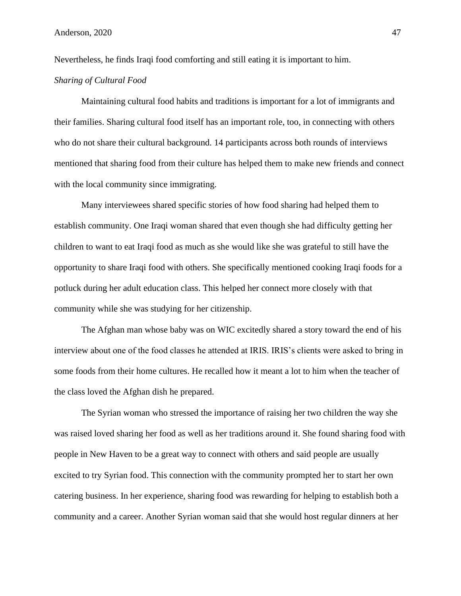Nevertheless, he finds Iraqi food comforting and still eating it is important to him.

#### *Sharing of Cultural Food*

Maintaining cultural food habits and traditions is important for a lot of immigrants and their families. Sharing cultural food itself has an important role, too, in connecting with others who do not share their cultural background. 14 participants across both rounds of interviews mentioned that sharing food from their culture has helped them to make new friends and connect with the local community since immigrating.

Many interviewees shared specific stories of how food sharing had helped them to establish community. One Iraqi woman shared that even though she had difficulty getting her children to want to eat Iraqi food as much as she would like she was grateful to still have the opportunity to share Iraqi food with others. She specifically mentioned cooking Iraqi foods for a potluck during her adult education class. This helped her connect more closely with that community while she was studying for her citizenship.

The Afghan man whose baby was on WIC excitedly shared a story toward the end of his interview about one of the food classes he attended at IRIS. IRIS's clients were asked to bring in some foods from their home cultures. He recalled how it meant a lot to him when the teacher of the class loved the Afghan dish he prepared.

The Syrian woman who stressed the importance of raising her two children the way she was raised loved sharing her food as well as her traditions around it. She found sharing food with people in New Haven to be a great way to connect with others and said people are usually excited to try Syrian food. This connection with the community prompted her to start her own catering business. In her experience, sharing food was rewarding for helping to establish both a community and a career. Another Syrian woman said that she would host regular dinners at her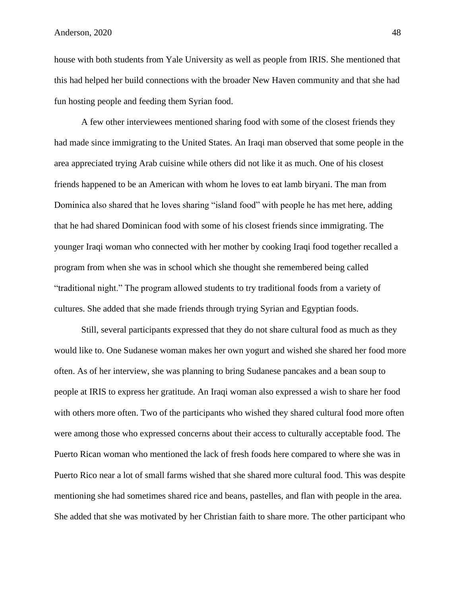house with both students from Yale University as well as people from IRIS. She mentioned that this had helped her build connections with the broader New Haven community and that she had fun hosting people and feeding them Syrian food.

A few other interviewees mentioned sharing food with some of the closest friends they had made since immigrating to the United States. An Iraqi man observed that some people in the area appreciated trying Arab cuisine while others did not like it as much. One of his closest friends happened to be an American with whom he loves to eat lamb biryani. The man from Dominica also shared that he loves sharing "island food" with people he has met here, adding that he had shared Dominican food with some of his closest friends since immigrating. The younger Iraqi woman who connected with her mother by cooking Iraqi food together recalled a program from when she was in school which she thought she remembered being called "traditional night." The program allowed students to try traditional foods from a variety of cultures. She added that she made friends through trying Syrian and Egyptian foods.

Still, several participants expressed that they do not share cultural food as much as they would like to. One Sudanese woman makes her own yogurt and wished she shared her food more often. As of her interview, she was planning to bring Sudanese pancakes and a bean soup to people at IRIS to express her gratitude. An Iraqi woman also expressed a wish to share her food with others more often. Two of the participants who wished they shared cultural food more often were among those who expressed concerns about their access to culturally acceptable food. The Puerto Rican woman who mentioned the lack of fresh foods here compared to where she was in Puerto Rico near a lot of small farms wished that she shared more cultural food. This was despite mentioning she had sometimes shared rice and beans, pastelles, and flan with people in the area. She added that she was motivated by her Christian faith to share more. The other participant who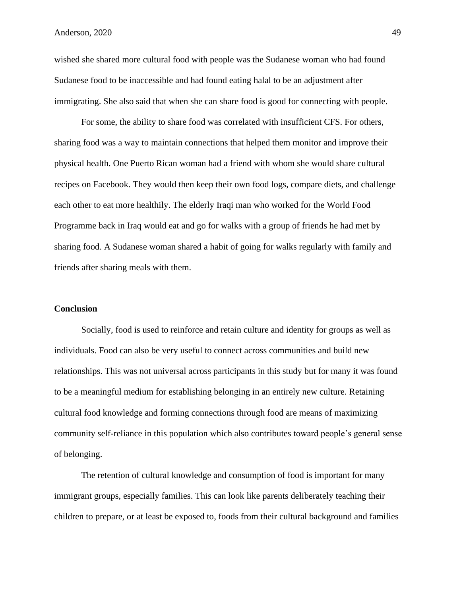wished she shared more cultural food with people was the Sudanese woman who had found Sudanese food to be inaccessible and had found eating halal to be an adjustment after immigrating. She also said that when she can share food is good for connecting with people.

For some, the ability to share food was correlated with insufficient CFS. For others, sharing food was a way to maintain connections that helped them monitor and improve their physical health. One Puerto Rican woman had a friend with whom she would share cultural recipes on Facebook. They would then keep their own food logs, compare diets, and challenge each other to eat more healthily. The elderly Iraqi man who worked for the World Food Programme back in Iraq would eat and go for walks with a group of friends he had met by sharing food. A Sudanese woman shared a habit of going for walks regularly with family and friends after sharing meals with them.

#### **Conclusion**

Socially, food is used to reinforce and retain culture and identity for groups as well as individuals. Food can also be very useful to connect across communities and build new relationships. This was not universal across participants in this study but for many it was found to be a meaningful medium for establishing belonging in an entirely new culture. Retaining cultural food knowledge and forming connections through food are means of maximizing community self-reliance in this population which also contributes toward people's general sense of belonging.

The retention of cultural knowledge and consumption of food is important for many immigrant groups, especially families. This can look like parents deliberately teaching their children to prepare, or at least be exposed to, foods from their cultural background and families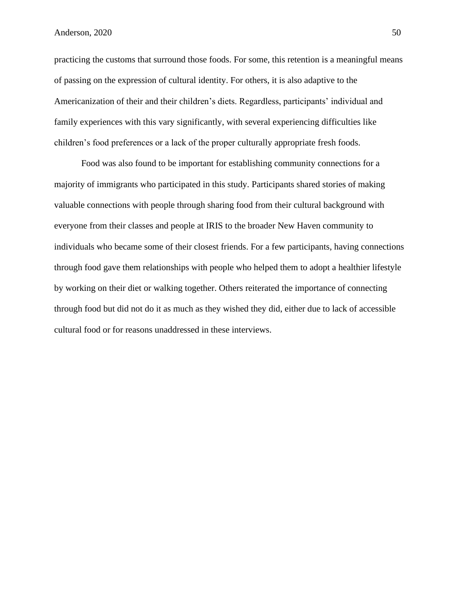practicing the customs that surround those foods. For some, this retention is a meaningful means of passing on the expression of cultural identity. For others, it is also adaptive to the Americanization of their and their children's diets. Regardless, participants' individual and family experiences with this vary significantly, with several experiencing difficulties like children's food preferences or a lack of the proper culturally appropriate fresh foods.

Food was also found to be important for establishing community connections for a majority of immigrants who participated in this study. Participants shared stories of making valuable connections with people through sharing food from their cultural background with everyone from their classes and people at IRIS to the broader New Haven community to individuals who became some of their closest friends. For a few participants, having connections through food gave them relationships with people who helped them to adopt a healthier lifestyle by working on their diet or walking together. Others reiterated the importance of connecting through food but did not do it as much as they wished they did, either due to lack of accessible cultural food or for reasons unaddressed in these interviews.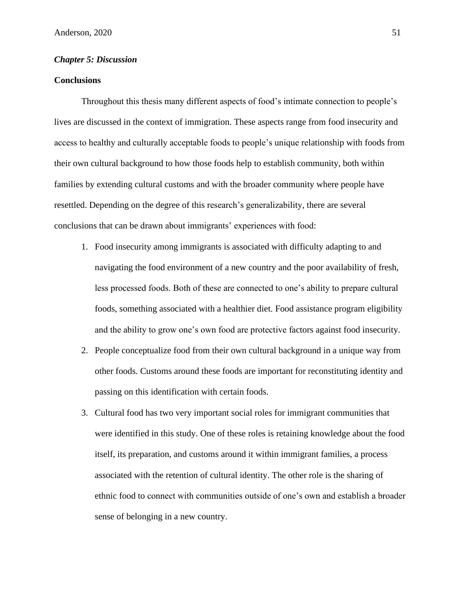## *Chapter 5: Discussion*

## **Conclusions**

Throughout this thesis many different aspects of food's intimate connection to people's lives are discussed in the context of immigration. These aspects range from food insecurity and access to healthy and culturally acceptable foods to people's unique relationship with foods from their own cultural background to how those foods help to establish community, both within families by extending cultural customs and with the broader community where people have resettled. Depending on the degree of this research's generalizability, there are several conclusions that can be drawn about immigrants' experiences with food:

- 1. Food insecurity among immigrants is associated with difficulty adapting to and navigating the food environment of a new country and the poor availability of fresh, less processed foods. Both of these are connected to one's ability to prepare cultural foods, something associated with a healthier diet. Food assistance program eligibility and the ability to grow one's own food are protective factors against food insecurity.
- 2. People conceptualize food from their own cultural background in a unique way from other foods. Customs around these foods are important for reconstituting identity and passing on this identification with certain foods.
- 3. Cultural food has two very important social roles for immigrant communities that were identified in this study. One of these roles is retaining knowledge about the food itself, its preparation, and customs around it within immigrant families, a process associated with the retention of cultural identity. The other role is the sharing of ethnic food to connect with communities outside of one's own and establish a broader sense of belonging in a new country.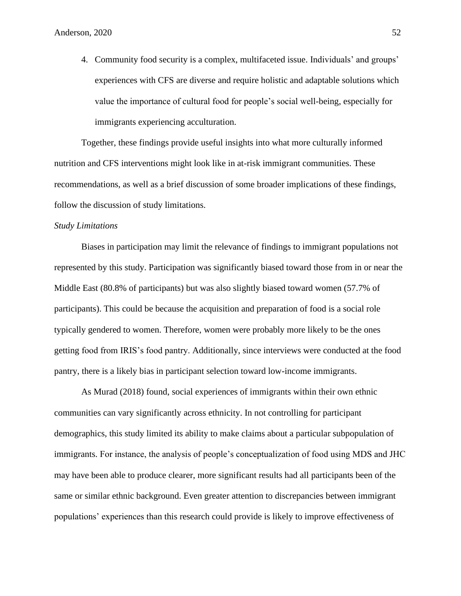4. Community food security is a complex, multifaceted issue. Individuals' and groups' experiences with CFS are diverse and require holistic and adaptable solutions which value the importance of cultural food for people's social well-being, especially for immigrants experiencing acculturation.

Together, these findings provide useful insights into what more culturally informed nutrition and CFS interventions might look like in at-risk immigrant communities. These recommendations, as well as a brief discussion of some broader implications of these findings, follow the discussion of study limitations.

#### *Study Limitations*

Biases in participation may limit the relevance of findings to immigrant populations not represented by this study. Participation was significantly biased toward those from in or near the Middle East (80.8% of participants) but was also slightly biased toward women (57.7% of participants). This could be because the acquisition and preparation of food is a social role typically gendered to women. Therefore, women were probably more likely to be the ones getting food from IRIS's food pantry. Additionally, since interviews were conducted at the food pantry, there is a likely bias in participant selection toward low-income immigrants.

As Murad (2018) found, social experiences of immigrants within their own ethnic communities can vary significantly across ethnicity. In not controlling for participant demographics, this study limited its ability to make claims about a particular subpopulation of immigrants. For instance, the analysis of people's conceptualization of food using MDS and JHC may have been able to produce clearer, more significant results had all participants been of the same or similar ethnic background. Even greater attention to discrepancies between immigrant populations' experiences than this research could provide is likely to improve effectiveness of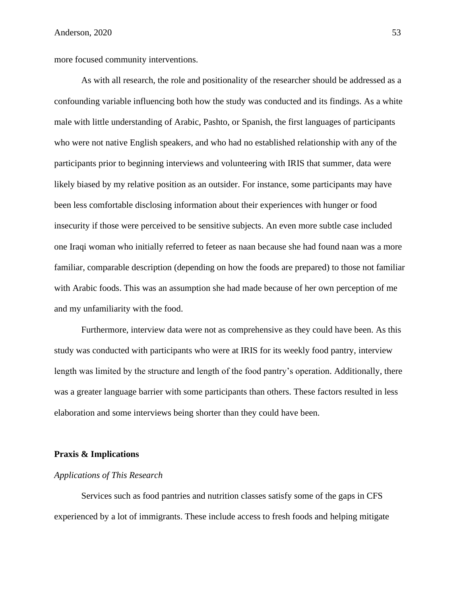more focused community interventions.

As with all research, the role and positionality of the researcher should be addressed as a confounding variable influencing both how the study was conducted and its findings. As a white male with little understanding of Arabic, Pashto, or Spanish, the first languages of participants who were not native English speakers, and who had no established relationship with any of the participants prior to beginning interviews and volunteering with IRIS that summer, data were likely biased by my relative position as an outsider. For instance, some participants may have been less comfortable disclosing information about their experiences with hunger or food insecurity if those were perceived to be sensitive subjects. An even more subtle case included one Iraqi woman who initially referred to feteer as naan because she had found naan was a more familiar, comparable description (depending on how the foods are prepared) to those not familiar with Arabic foods. This was an assumption she had made because of her own perception of me and my unfamiliarity with the food.

Furthermore, interview data were not as comprehensive as they could have been. As this study was conducted with participants who were at IRIS for its weekly food pantry, interview length was limited by the structure and length of the food pantry's operation. Additionally, there was a greater language barrier with some participants than others. These factors resulted in less elaboration and some interviews being shorter than they could have been.

#### **Praxis & Implications**

## *Applications of This Research*

Services such as food pantries and nutrition classes satisfy some of the gaps in CFS experienced by a lot of immigrants. These include access to fresh foods and helping mitigate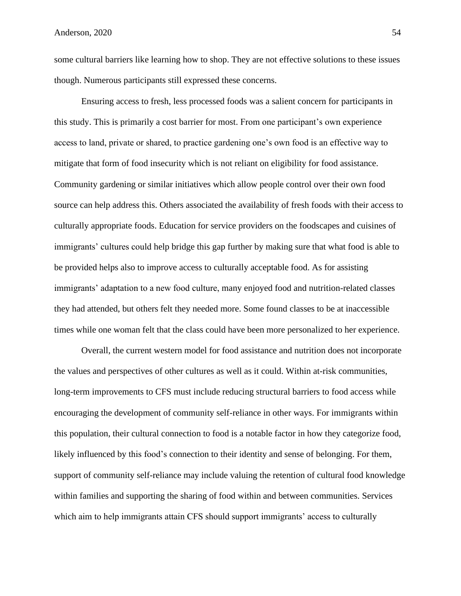some cultural barriers like learning how to shop. They are not effective solutions to these issues though. Numerous participants still expressed these concerns.

Ensuring access to fresh, less processed foods was a salient concern for participants in this study. This is primarily a cost barrier for most. From one participant's own experience access to land, private or shared, to practice gardening one's own food is an effective way to mitigate that form of food insecurity which is not reliant on eligibility for food assistance. Community gardening or similar initiatives which allow people control over their own food source can help address this. Others associated the availability of fresh foods with their access to culturally appropriate foods. Education for service providers on the foodscapes and cuisines of immigrants' cultures could help bridge this gap further by making sure that what food is able to be provided helps also to improve access to culturally acceptable food. As for assisting immigrants' adaptation to a new food culture, many enjoyed food and nutrition-related classes they had attended, but others felt they needed more. Some found classes to be at inaccessible times while one woman felt that the class could have been more personalized to her experience.

Overall, the current western model for food assistance and nutrition does not incorporate the values and perspectives of other cultures as well as it could. Within at-risk communities, long-term improvements to CFS must include reducing structural barriers to food access while encouraging the development of community self-reliance in other ways. For immigrants within this population, their cultural connection to food is a notable factor in how they categorize food, likely influenced by this food's connection to their identity and sense of belonging. For them, support of community self-reliance may include valuing the retention of cultural food knowledge within families and supporting the sharing of food within and between communities. Services which aim to help immigrants attain CFS should support immigrants' access to culturally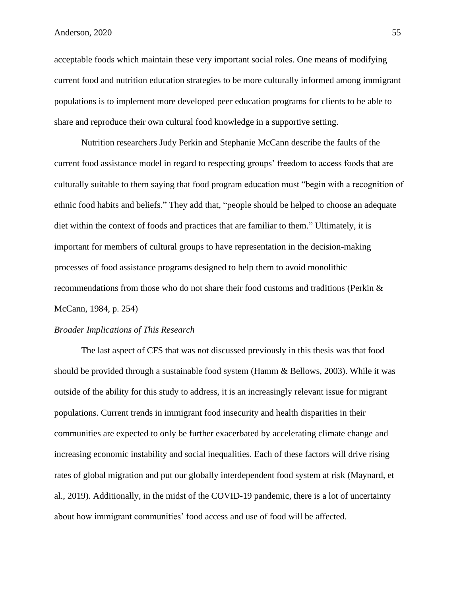acceptable foods which maintain these very important social roles. One means of modifying current food and nutrition education strategies to be more culturally informed among immigrant populations is to implement more developed peer education programs for clients to be able to share and reproduce their own cultural food knowledge in a supportive setting.

Nutrition researchers Judy Perkin and Stephanie McCann describe the faults of the current food assistance model in regard to respecting groups' freedom to access foods that are culturally suitable to them saying that food program education must "begin with a recognition of ethnic food habits and beliefs." They add that, "people should be helped to choose an adequate diet within the context of foods and practices that are familiar to them." Ultimately, it is important for members of cultural groups to have representation in the decision-making processes of food assistance programs designed to help them to avoid monolithic recommendations from those who do not share their food customs and traditions (Perkin & McCann, 1984, p. 254)

#### *Broader Implications of This Research*

The last aspect of CFS that was not discussed previously in this thesis was that food should be provided through a sustainable food system (Hamm & Bellows, 2003). While it was outside of the ability for this study to address, it is an increasingly relevant issue for migrant populations. Current trends in immigrant food insecurity and health disparities in their communities are expected to only be further exacerbated by accelerating climate change and increasing economic instability and social inequalities. Each of these factors will drive rising rates of global migration and put our globally interdependent food system at risk (Maynard, et al., 2019). Additionally, in the midst of the COVID-19 pandemic, there is a lot of uncertainty about how immigrant communities' food access and use of food will be affected.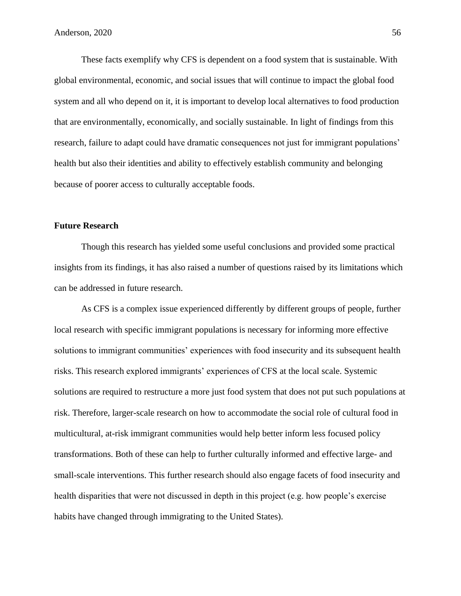These facts exemplify why CFS is dependent on a food system that is sustainable. With global environmental, economic, and social issues that will continue to impact the global food system and all who depend on it, it is important to develop local alternatives to food production that are environmentally, economically, and socially sustainable. In light of findings from this research, failure to adapt could have dramatic consequences not just for immigrant populations' health but also their identities and ability to effectively establish community and belonging because of poorer access to culturally acceptable foods.

#### **Future Research**

Though this research has yielded some useful conclusions and provided some practical insights from its findings, it has also raised a number of questions raised by its limitations which can be addressed in future research.

As CFS is a complex issue experienced differently by different groups of people, further local research with specific immigrant populations is necessary for informing more effective solutions to immigrant communities' experiences with food insecurity and its subsequent health risks. This research explored immigrants' experiences of CFS at the local scale. Systemic solutions are required to restructure a more just food system that does not put such populations at risk. Therefore, larger-scale research on how to accommodate the social role of cultural food in multicultural, at-risk immigrant communities would help better inform less focused policy transformations. Both of these can help to further culturally informed and effective large- and small-scale interventions. This further research should also engage facets of food insecurity and health disparities that were not discussed in depth in this project (e.g. how people's exercise habits have changed through immigrating to the United States).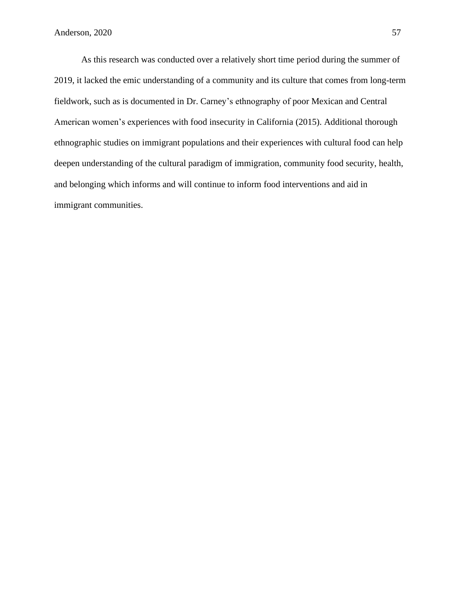As this research was conducted over a relatively short time period during the summer of 2019, it lacked the emic understanding of a community and its culture that comes from long-term fieldwork, such as is documented in Dr. Carney's ethnography of poor Mexican and Central American women's experiences with food insecurity in California (2015). Additional thorough ethnographic studies on immigrant populations and their experiences with cultural food can help deepen understanding of the cultural paradigm of immigration, community food security, health, and belonging which informs and will continue to inform food interventions and aid in immigrant communities.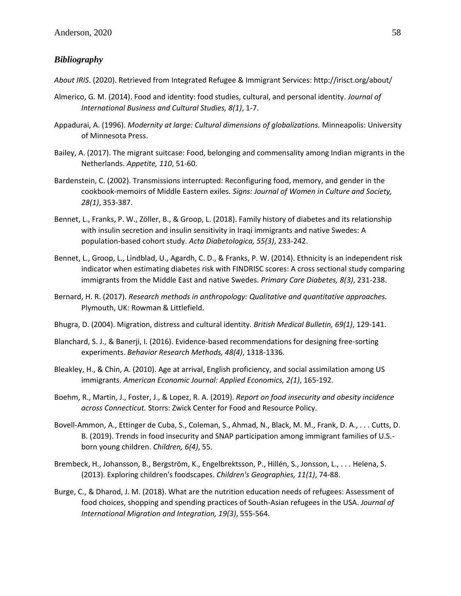## *Bibliography*

*About IRIS*. (2020). Retrieved from Integrated Refugee & Immigrant Services: http://irisct.org/about/

- Almerico, G. M. (2014). Food and identity: food studies, cultural, and personal identity. *Journal of International Business and Cultural Studies, 8(1)*, 1-7.
- Appadurai, A. (1996). *Modernity at large: Cultural dimensions of globalizations.* Minneapolis: University of Minnesota Press.
- Bailey, A. (2017). The migrant suitcase: Food, belonging and commensality among Indian migrants in the Netherlands. *Appetite, 110*, 51-60.
- Bardenstein, C. (2002). Transmissions interrupted: Reconfiguring food, memory, and gender in the cookbook-memoirs of Middle Eastern exiles. *Signs: Journal of Women in Culture and Society, 28(1)*, 353-387.
- Bennet, L., Franks, P. W., Zöller, B., & Groop, L. (2018). Family history of diabetes and its relationship with insulin secretion and insulin sensitivity in Iraqi immigrants and native Swedes: A population-based cohort study. *Acta Diabetologica, 55(3)*, 233-242.
- Bennet, L., Groop, L., Lindblad, U., Agardh, C. D., & Franks, P. W. (2014). Ethnicity is an independent risk indicator when estimating diabetes risk with FINDRISC scores: A cross sectional study comparing immigrants from the Middle East and native Swedes. *Primary Care Diabetes, 8(3)*, 231-238.
- Bernard, H. R. (2017). *Research methods in anthropology: Qualitative and quantitative approaches.* Plymouth, UK: Rowman & Littlefield.
- Bhugra, D. (2004). Migration, distress and cultural identity. *British Medical Bulletin, 69(1)*, 129-141.
- Blanchard, S. J., & Banerji, I. (2016). Evidence-based recommendations for designing free-sorting experiments. *Behavior Research Methods, 48(4)*, 1318-1336.
- Bleakley, H., & Chin, A. (2010). Age at arrival, English proficiency, and social assimilation among US immigrants. *American Economic Journal: Applied Economics, 2(1)*, 165-192.
- Boehm, R., Martin, J., Foster, J., & Lopez, R. A. (2019). *Report on food insecurity and obesity incidence across Connecticut.* Storrs: Zwick Center for Food and Resource Policy.
- Bovell-Ammon, A., Ettinger de Cuba, S., Coleman, S., Ahmad, N., Black, M. M., Frank, D. A., . . . Cutts, D. B. (2019). Trends in food insecurity and SNAP participation among immigrant families of U.S. born young children. *Children, 6(4)*, 55.
- Brembeck, H., Johansson, B., Bergström, K., Engelbrektsson, P., Hillén, S., Jonsson, L., . . . Helena, S. (2013). Exploring children's foodscapes. *Children's Geographies, 11(1)*, 74-88.
- Burge, C., & Dharod, J. M. (2018). What are the nutrition education needs of refugees: Assessment of food choices, shopping and spending practices of South-Asian refugees in the USA. *Journal of International Migration and Integration, 19(3)*, 555-564.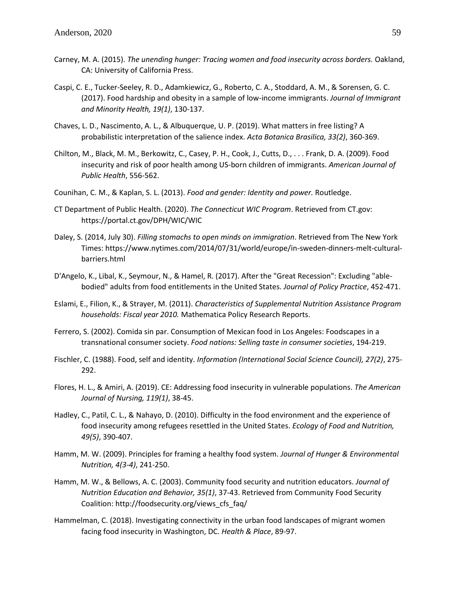- Carney, M. A. (2015). *The unending hunger: Tracing women and food insecurity across borders.* Oakland, CA: University of California Press.
- Caspi, C. E., Tucker-Seeley, R. D., Adamkiewicz, G., Roberto, C. A., Stoddard, A. M., & Sorensen, G. C. (2017). Food hardship and obesity in a sample of low-income immigrants. *Journal of Immigrant and Minority Health, 19(1)*, 130-137.
- Chaves, L. D., Nascimento, A. L., & Albuquerque, U. P. (2019). What matters in free listing? A probabilistic interpretation of the salience index. *Acta Botanica Brasilica, 33(2)*, 360-369.
- Chilton, M., Black, M. M., Berkowitz, C., Casey, P. H., Cook, J., Cutts, D., . . . Frank, D. A. (2009). Food insecurity and risk of poor health among US-born children of immigrants. *American Journal of Public Health*, 556-562.
- Counihan, C. M., & Kaplan, S. L. (2013). *Food and gender: Identity and power.* Routledge.
- CT Department of Public Health. (2020). *The Connecticut WIC Program*. Retrieved from CT.gov: https://portal.ct.gov/DPH/WIC/WIC
- Daley, S. (2014, July 30). *Filling stomachs to open minds on immigration*. Retrieved from The New York Times: https://www.nytimes.com/2014/07/31/world/europe/in-sweden-dinners-melt-culturalbarriers.html
- D'Angelo, K., Libal, K., Seymour, N., & Hamel, R. (2017). After the "Great Recession": Excluding "ablebodied" adults from food entitlements in the United States. *Journal of Policy Practice*, 452-471.
- Eslami, E., Filion, K., & Strayer, M. (2011). *Characteristics of Supplemental Nutrition Assistance Program households: Fiscal year 2010.* Mathematica Policy Research Reports.
- Ferrero, S. (2002). Comida sin par. Consumption of Mexican food in Los Angeles: Foodscapes in a transnational consumer society. *Food nations: Selling taste in consumer societies*, 194-219.
- Fischler, C. (1988). Food, self and identity. *Information (International Social Science Council), 27(2)*, 275- 292.
- Flores, H. L., & Amiri, A. (2019). CE: Addressing food insecurity in vulnerable populations. *The American Journal of Nursing, 119(1)*, 38-45.
- Hadley, C., Patil, C. L., & Nahayo, D. (2010). Difficulty in the food environment and the experience of food insecurity among refugees resettled in the United States. *Ecology of Food and Nutrition, 49(5)*, 390-407.
- Hamm, M. W. (2009). Principles for framing a healthy food system. *Journal of Hunger & Environmental Nutrition, 4(3-4)*, 241-250.
- Hamm, M. W., & Bellows, A. C. (2003). Community food security and nutrition educators. *Journal of Nutrition Education and Behavior, 35(1)*, 37-43. Retrieved from Community Food Security Coalition: http://foodsecurity.org/views\_cfs\_faq/
- Hammelman, C. (2018). Investigating connectivity in the urban food landscapes of migrant women facing food insecurity in Washington, DC. *Health & Place*, 89-97.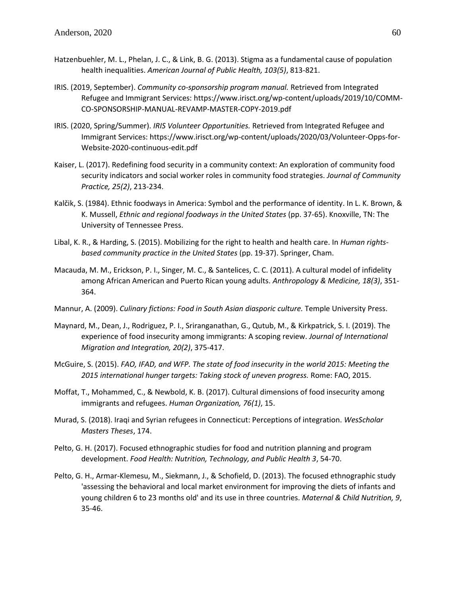- Hatzenbuehler, M. L., Phelan, J. C., & Link, B. G. (2013). Stigma as a fundamental cause of population health inequalities. *American Journal of Public Health, 103(5)*, 813-821.
- IRIS. (2019, September). *Community co-sponsorship program manual.* Retrieved from Integrated Refugee and Immigrant Services: https://www.irisct.org/wp-content/uploads/2019/10/COMM-CO-SPONSORSHIP-MANUAL-REVAMP-MASTER-COPY-2019.pdf
- IRIS. (2020, Spring/Summer). *IRIS Volunteer Opportunities.* Retrieved from Integrated Refugee and Immigrant Services: https://www.irisct.org/wp-content/uploads/2020/03/Volunteer-Opps-for-Website-2020-continuous-edit.pdf
- Kaiser, L. (2017). Redefining food security in a community context: An exploration of community food security indicators and social worker roles in community food strategies. *Journal of Community Practice, 25(2)*, 213-234.
- Kalčik, S. (1984). Ethnic foodways in America: Symbol and the performance of identity. In L. K. Brown, & K. Mussell, *Ethnic and regional foodways in the United States* (pp. 37-65). Knoxville, TN: The University of Tennessee Press.
- Libal, K. R., & Harding, S. (2015). Mobilizing for the right to health and health care. In *Human rightsbased community practice in the United States* (pp. 19-37). Springer, Cham.
- Macauda, M. M., Erickson, P. I., Singer, M. C., & Santelices, C. C. (2011). A cultural model of infidelity among African American and Puerto Rican young adults. *Anthropology & Medicine, 18(3)*, 351- 364.
- Mannur, A. (2009). *Culinary fictions: Food in South Asian diasporic culture.* Temple University Press.
- Maynard, M., Dean, J., Rodriguez, P. I., Sriranganathan, G., Qutub, M., & Kirkpatrick, S. I. (2019). The experience of food insecurity among immigrants: A scoping review. *Journal of International Migration and Integration, 20(2)*, 375-417.
- McGuire, S. (2015). *FAO, IFAD, and WFP. The state of food insecurity in the world 2015: Meeting the 2015 international hunger targets: Taking stock of uneven progress.* Rome: FAO, 2015.
- Moffat, T., Mohammed, C., & Newbold, K. B. (2017). Cultural dimensions of food insecurity among immigrants and refugees. *Human Organization, 76(1)*, 15.
- Murad, S. (2018). Iraqi and Syrian refugees in Connecticut: Perceptions of integration. *WesScholar Masters Theses*, 174.
- Pelto, G. H. (2017). Focused ethnographic studies for food and nutrition planning and program development. *Food Health: Nutrition, Technology, and Public Health 3*, 54-70.
- Pelto, G. H., Armar-Klemesu, M., Siekmann, J., & Schofield, D. (2013). The focused ethnographic study 'assessing the behavioral and local market environment for improving the diets of infants and young children 6 to 23 months old' and its use in three countries. *Maternal & Child Nutrition, 9*, 35-46.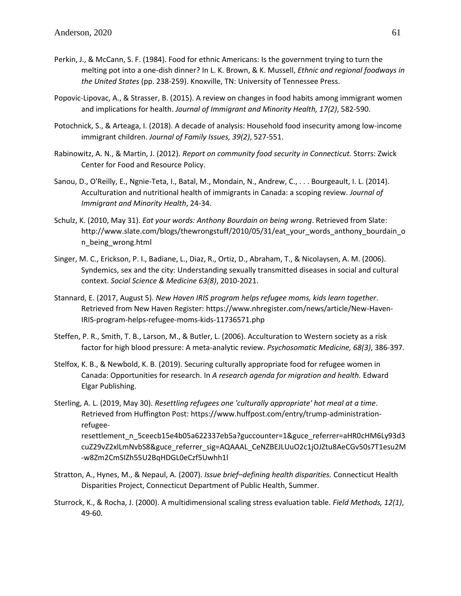- Perkin, J., & McCann, S. F. (1984). Food for ethnic Americans: Is the government trying to turn the melting pot into a one-dish dinner? In L. K. Brown, & K. Mussell, *Ethnic and regional foodways in the United States* (pp. 238-259). Knoxville, TN: University of Tennessee Press.
- Popovic-Lipovac, A., & Strasser, B. (2015). A review on changes in food habits among immigrant women and implications for health. *Journal of Immigrant and Minority Health, 17(2)*, 582-590.
- Potochnick, S., & Arteaga, I. (2018). A decade of analysis: Household food insecurity among low-income immigrant children. *Journal of Family Issues, 39(2)*, 527-551.
- Rabinowitz, A. N., & Martin, J. (2012). *Report on community food security in Connecticut.* Storrs: Zwick Center for Food and Resource Policy.
- Sanou, D., O'Reilly, E., Ngnie-Teta, I., Batal, M., Mondain, N., Andrew, C., . . . Bourgeault, I. L. (2014). Acculturation and nutritional health of immigrants in Canada: a scoping review. *Journal of Immigrant and Minority Health*, 24-34.
- Schulz, K. (2010, May 31). *Eat your words: Anthony Bourdain on being wrong*. Retrieved from Slate: http://www.slate.com/blogs/thewrongstuff/2010/05/31/eat\_your\_words\_anthony\_bourdain\_o n\_being\_wrong.html
- Singer, M. C., Erickson, P. I., Badiane, L., Diaz, R., Ortiz, D., Abraham, T., & Nicolaysen, A. M. (2006). Syndemics, sex and the city: Understanding sexually transmitted diseases in social and cultural context. *Social Science & Medicine 63(8)*, 2010-2021.
- Stannard, E. (2017, August 5). *New Haven IRIS program helps refugee moms, kids learn together*. Retrieved from New Haven Register: https://www.nhregister.com/news/article/New-Haven-IRIS-program-helps-refugee-moms-kids-11736571.php
- Steffen, P. R., Smith, T. B., Larson, M., & Butler, L. (2006). Acculturation to Western society as a risk factor for high blood pressure: A meta-analytic review. *Psychosomatic Medicine, 68(3)*, 386-397.
- Stelfox, K. B., & Newbold, K. B. (2019). Securing culturally appropriate food for refugee women in Canada: Opportunities for research. In *A research agenda for migration and health.* Edward Elgar Publishing.
- Sterling, A. L. (2019, May 30). *Resettling refugees one 'culturally appropriate' hot meal at a time*. Retrieved from Huffington Post: https://www.huffpost.com/entry/trump-administrationrefugeeresettlement\_n\_5ceecb15e4b05a622337eb5a?guccounter=1&guce\_referrer=aHR0cHM6Ly93d3

cuZ29vZ2xlLmNvbS8&guce\_referrer\_sig=AQAAAL\_CeNZBEJLUuO2c1jOJZtu8AeCGv50s7T1esu2M -w8Zm2CmSIZh55U2BqHDGL0eCzf5Uwhh1l

- Stratton, A., Hynes, M., & Nepaul, A. (2007). *Issue brief–defining health disparities.* Connecticut Health Disparities Project, Connecticut Department of Public Health, Summer.
- Sturrock, K., & Rocha, J. (2000). A multidimensional scaling stress evaluation table. *Field Methods, 12(1)*, 49-60.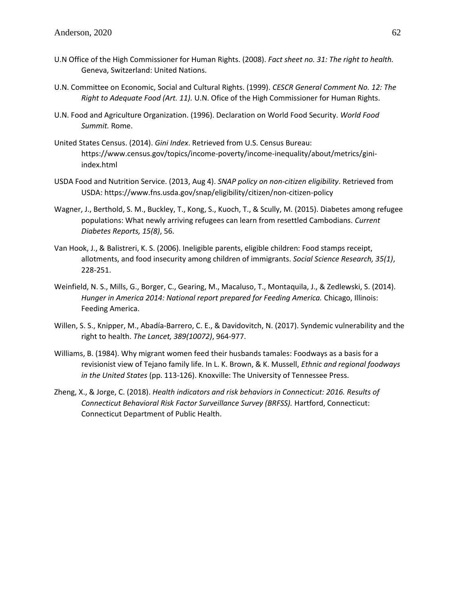- U.N Office of the High Commissioner for Human Rights. (2008). *Fact sheet no. 31: The right to health.* Geneva, Switzerland: United Nations.
- U.N. Committee on Economic, Social and Cultural Rights. (1999). *CESCR General Comment No. 12: The Right to Adequate Food (Art. 11).* U.N. Ofice of the High Commissioner for Human Rights.
- U.N. Food and Agriculture Organization. (1996). Declaration on World Food Security. *World Food Summit.* Rome.
- United States Census. (2014). *Gini Index*. Retrieved from U.S. Census Bureau: https://www.census.gov/topics/income-poverty/income-inequality/about/metrics/giniindex.html
- USDA Food and Nutrition Service. (2013, Aug 4). *SNAP policy on non-citizen eligibility*. Retrieved from USDA: https://www.fns.usda.gov/snap/eligibility/citizen/non-citizen-policy
- Wagner, J., Berthold, S. M., Buckley, T., Kong, S., Kuoch, T., & Scully, M. (2015). Diabetes among refugee populations: What newly arriving refugees can learn from resettled Cambodians. *Current Diabetes Reports, 15(8)*, 56.
- Van Hook, J., & Balistreri, K. S. (2006). Ineligible parents, eligible children: Food stamps receipt, allotments, and food insecurity among children of immigrants. *Social Science Research, 35(1)*, 228-251.
- Weinfield, N. S., Mills, G., Borger, C., Gearing, M., Macaluso, T., Montaquila, J., & Zedlewski, S. (2014). *Hunger in America 2014: National report prepared for Feeding America.* Chicago, Illinois: Feeding America.
- Willen, S. S., Knipper, M., Abadía-Barrero, C. E., & Davidovitch, N. (2017). Syndemic vulnerability and the right to health. *The Lancet, 389(10072)*, 964-977.
- Williams, B. (1984). Why migrant women feed their husbands tamales: Foodways as a basis for a revisionist view of Tejano family life. In L. K. Brown, & K. Mussell, *Ethnic and regional foodways in the United States* (pp. 113-126). Knoxville: The University of Tennessee Press.
- Zheng, X., & Jorge, C. (2018). *Health indicators and risk behaviors in Connecticut: 2016. Results of Connecticut Behavioral Risk Factor Surveillance Survey (BRFSS).* Hartford, Connecticut: Connecticut Department of Public Health.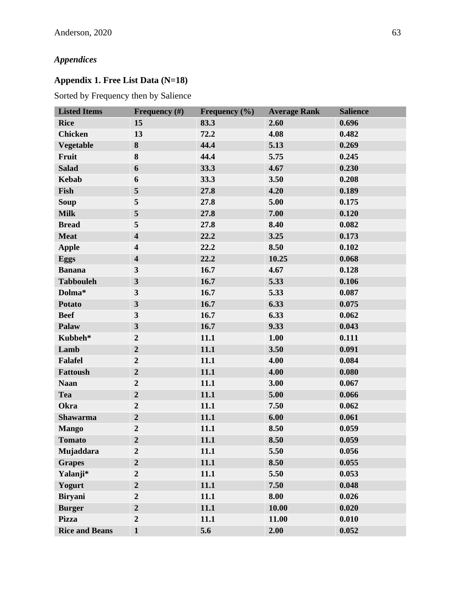## *Appendices*

## **Appendix 1. Free List Data (N=18)**

Sorted by Frequency then by Salience

| <b>Listed Items</b>   | Frequency $(\#)$        | Frequency $(\% )$ | <b>Average Rank</b> | <b>Salience</b> |
|-----------------------|-------------------------|-------------------|---------------------|-----------------|
| <b>Rice</b>           | 15                      | 83.3              | 2.60                | 0.696           |
| <b>Chicken</b>        | 13                      | 72.2              | 4.08                | 0.482           |
| <b>Vegetable</b>      | 8                       | 44.4              | 5.13                | 0.269           |
| Fruit                 | 8                       | 44.4              | 5.75                | 0.245           |
| <b>Salad</b>          | 6                       | 33.3              | 4.67                | 0.230           |
| <b>Kebab</b>          | 6                       | 33.3              | 3.50                | 0.208           |
| Fish                  | 5                       | 27.8              | 4.20                | 0.189           |
| <b>Soup</b>           | 5                       | 27.8              | 5.00                | 0.175           |
| <b>Milk</b>           | 5                       | 27.8              | 7.00                | 0.120           |
| <b>Bread</b>          | 5                       | 27.8              | 8.40                | 0.082           |
| <b>Meat</b>           | $\overline{\mathbf{4}}$ | 22.2              | 3.25                | 0.173           |
| <b>Apple</b>          | $\overline{\mathbf{4}}$ | 22.2              | 8.50                | 0.102           |
| Eggs                  | $\overline{\mathbf{4}}$ | 22.2              | 10.25               | 0.068           |
| <b>Banana</b>         | $\overline{\mathbf{3}}$ | 16.7              | 4.67                | 0.128           |
| <b>Tabbouleh</b>      | $\mathbf{3}$            | 16.7              | 5.33                | 0.106           |
| Dolma*                | $\overline{\mathbf{3}}$ | 16.7              | 5.33                | 0.087           |
| Potato                | $\mathbf{3}$            | 16.7              | 6.33                | 0.075           |
| <b>Beef</b>           | $\mathbf{3}$            | 16.7              | 6.33                | 0.062           |
| Palaw                 | $\mathbf{3}$            | 16.7              | 9.33                | 0.043           |
| Kubbeh*               | $\boldsymbol{2}$        | 11.1              | 1.00                | 0.111           |
| Lamb                  | $\boldsymbol{2}$        | 11.1              | 3.50                | 0.091           |
| <b>Falafel</b>        | $\boldsymbol{2}$        | 11.1              | 4.00                | 0.084           |
| <b>Fattoush</b>       | $\overline{2}$          | 11.1              | 4.00                | 0.080           |
| <b>Naan</b>           | $\boldsymbol{2}$        | 11.1              | 3.00                | 0.067           |
| <b>Tea</b>            | $\boldsymbol{2}$        | 11.1              | 5.00                | 0.066           |
| Okra                  | $\boldsymbol{2}$        | 11.1              | 7.50                | 0.062           |
| <b>Shawarma</b>       | $\boldsymbol{2}$        | 11.1              | 6.00                | 0.061           |
| <b>Mango</b>          | $\boldsymbol{2}$        | 11.1              | 8.50                | 0.059           |
| <b>Tomato</b>         | $\overline{2}$          | 11.1              | 8.50                | 0.059           |
| Mujaddara             | $\overline{2}$          | 11.1              | 5.50                | 0.056           |
| <b>Grapes</b>         | $\boldsymbol{2}$        | 11.1              | 8.50                | 0.055           |
| Yalanji*              | $\boldsymbol{2}$        | 11.1              | 5.50                | 0.053           |
| Yogurt                | $\boldsymbol{2}$        | 11.1              | 7.50                | 0.048           |
| <b>Biryani</b>        | $\boldsymbol{2}$        | 11.1              | 8.00                | 0.026           |
| <b>Burger</b>         | $\boldsymbol{2}$        | 11.1              | 10.00               | 0.020           |
| <b>Pizza</b>          | $\boldsymbol{2}$        | 11.1              | 11.00               | 0.010           |
| <b>Rice and Beans</b> | $\mathbf{1}$            | 5.6               | 2.00                | 0.052           |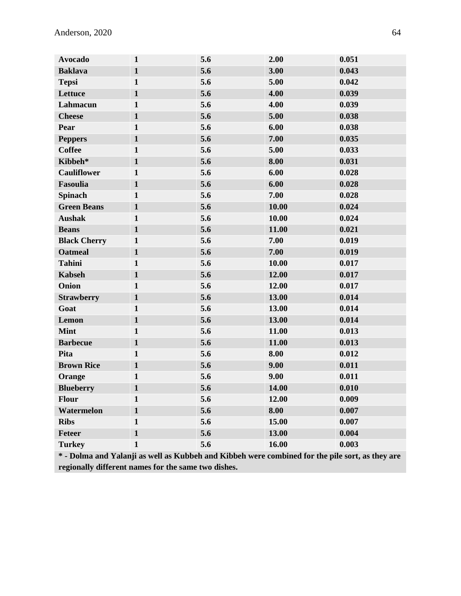| <b>Avocado</b>      | $\mathbf{1}$ | 5.6 | 2.00  | 0.051 |
|---------------------|--------------|-----|-------|-------|
| <b>Baklava</b>      | $\mathbf{1}$ | 5.6 | 3.00  | 0.043 |
| <b>Tepsi</b>        | $\mathbf{1}$ | 5.6 | 5.00  | 0.042 |
| Lettuce             | $\mathbf{1}$ | 5.6 | 4.00  | 0.039 |
| Lahmacun            | $\mathbf{1}$ | 5.6 | 4.00  | 0.039 |
| <b>Cheese</b>       | $\mathbf{1}$ | 5.6 | 5.00  | 0.038 |
| Pear                | $\mathbf{1}$ | 5.6 | 6.00  | 0.038 |
| <b>Peppers</b>      | $\mathbf{1}$ | 5.6 | 7.00  | 0.035 |
| <b>Coffee</b>       | $\mathbf{1}$ | 5.6 | 5.00  | 0.033 |
| Kibbeh*             | $\mathbf{1}$ | 5.6 | 8.00  | 0.031 |
| <b>Cauliflower</b>  | $\mathbf{1}$ | 5.6 | 6.00  | 0.028 |
| <b>Fasoulia</b>     | $\mathbf{1}$ | 5.6 | 6.00  | 0.028 |
| <b>Spinach</b>      | $\mathbf{1}$ | 5.6 | 7.00  | 0.028 |
| <b>Green Beans</b>  | $\mathbf{1}$ | 5.6 | 10.00 | 0.024 |
| <b>Aushak</b>       | $\mathbf{1}$ | 5.6 | 10.00 | 0.024 |
| <b>Beans</b>        | $\mathbf{1}$ | 5.6 | 11.00 | 0.021 |
| <b>Black Cherry</b> | $\mathbf{1}$ | 5.6 | 7.00  | 0.019 |
| <b>Oatmeal</b>      | $\mathbf{1}$ | 5.6 | 7.00  | 0.019 |
| <b>Tahini</b>       | $\mathbf{1}$ | 5.6 | 10.00 | 0.017 |
| <b>Kabseh</b>       | $\mathbf{1}$ | 5.6 | 12.00 | 0.017 |
| Onion               | $\mathbf{1}$ | 5.6 | 12.00 | 0.017 |
| <b>Strawberry</b>   | $\mathbf{1}$ | 5.6 | 13.00 | 0.014 |
| Goat                | $\mathbf{1}$ | 5.6 | 13.00 | 0.014 |
| Lemon               | $\mathbf{1}$ | 5.6 | 13.00 | 0.014 |
| <b>Mint</b>         | $\mathbf{1}$ | 5.6 | 11.00 | 0.013 |
| <b>Barbecue</b>     | $\mathbf{1}$ | 5.6 | 11.00 | 0.013 |
| Pita                | $\mathbf{1}$ | 5.6 | 8.00  | 0.012 |
| <b>Brown Rice</b>   | $\mathbf{1}$ | 5.6 | 9.00  | 0.011 |
| Orange              | $\mathbf{1}$ | 5.6 | 9.00  | 0.011 |
| <b>Blueberry</b>    | $\mathbf{1}$ | 5.6 | 14.00 | 0.010 |
| <b>Flour</b>        | $\mathbf{1}$ | 5.6 | 12.00 | 0.009 |
| Watermelon          | $\mathbf{1}$ | 5.6 | 8.00  | 0.007 |
| <b>Ribs</b>         | $\mathbf{1}$ | 5.6 | 15.00 | 0.007 |
| <b>Feteer</b>       | $\mathbf{1}$ | 5.6 | 13.00 | 0.004 |
| <b>Turkey</b>       | $\mathbf{1}$ | 5.6 | 16.00 | 0.003 |

**\* - Dolma and Yalanji as well as Kubbeh and Kibbeh were combined for the pile sort, as they are regionally different names for the same two dishes.**